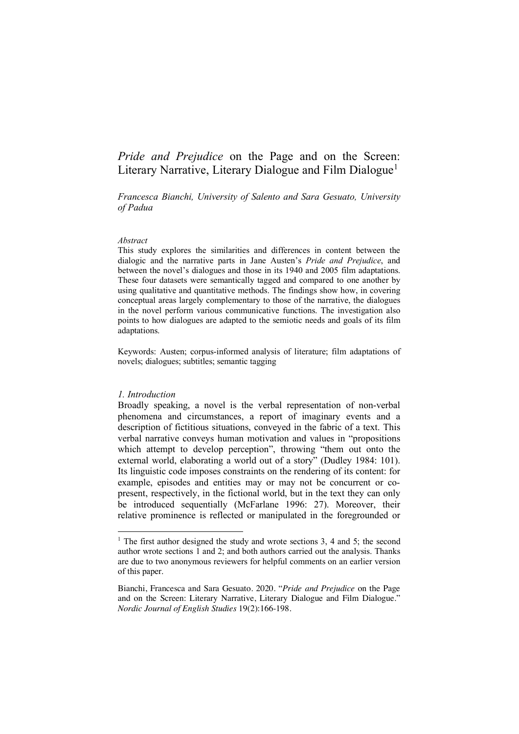# *Pride and Prejudice* on the Page and on the Screen: Literary Narrative, Literary Dialogue and Film Dialogue<sup>1</sup>

*Francesca Bianchi, University of Salento and Sara Gesuato, University of Padua*

#### *Abstract*

This study explores the similarities and differences in content between the dialogic and the narrative parts in Jane Austen's *Pride and Prejudice*, and between the novel's dialogues and those in its 1940 and 2005 film adaptations. These four datasets were semantically tagged and compared to one another by using qualitative and quantitative methods. The findings show how, in covering conceptual areas largely complementary to those of the narrative, the dialogues in the novel perform various communicative functions. The investigation also points to how dialogues are adapted to the semiotic needs and goals of its film adaptations.

Keywords: Austen; corpus-informed analysis of literature; film adaptations of novels; dialogues; subtitles; semantic tagging

#### *1. Introduction*

Broadly speaking, a novel is the verbal representation of non-verbal phenomena and circumstances, a report of imaginary events and a description of fictitious situations, conveyed in the fabric of a text. This verbal narrative conveys human motivation and values in "propositions which attempt to develop perception", throwing "them out onto the external world, elaborating a world out of a story" (Dudley 1984: 101). Its linguistic code imposes constraints on the rendering of its content: for example, episodes and entities may or may not be concurrent or copresent, respectively, in the fictional world, but in the text they can only be introduced sequentially (McFarlane 1996: 27). Moreover, their relative prominence is reflected or manipulated in the foregrounded or

<sup>&</sup>lt;sup>1</sup> The first author designed the study and wrote sections  $3, 4$  and  $5$ ; the second author wrote sections 1 and 2; and both authors carried out the analysis. Thanks are due to two anonymous reviewers for helpful comments on an earlier version of this paper.

Bianchi, Francesca and Sara Gesuato. 2020. "*Pride and Prejudice* on the Page and on the Screen: Literary Narrative, Literary Dialogue and Film Dialogue." *Nordic Journal of English Studies* 19(2):166-198.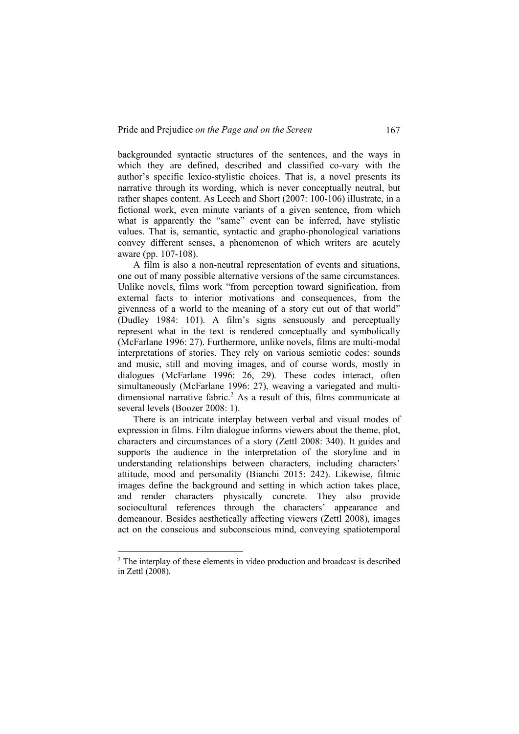backgrounded syntactic structures of the sentences, and the ways in which they are defined, described and classified co-vary with the author's specific lexico-stylistic choices. That is, a novel presents its narrative through its wording, which is never conceptually neutral, but rather shapes content. As Leech and Short (2007: 100-106) illustrate, in a fictional work, even minute variants of a given sentence, from which what is apparently the "same" event can be inferred, have stylistic values. That is, semantic, syntactic and grapho-phonological variations convey different senses, a phenomenon of which writers are acutely aware (pp. 107-108).

A film is also a non-neutral representation of events and situations, one out of many possible alternative versions of the same circumstances. Unlike novels, films work "from perception toward signification, from external facts to interior motivations and consequences, from the givenness of a world to the meaning of a story cut out of that world" (Dudley 1984: 101). A film's signs sensuously and perceptually represent what in the text is rendered conceptually and symbolically (McFarlane 1996: 27). Furthermore, unlike novels, films are multi-modal interpretations of stories. They rely on various semiotic codes: sounds and music, still and moving images, and of course words, mostly in dialogues (McFarlane 1996: 26, 29). These codes interact, often simultaneously (McFarlane 1996: 27), weaving a variegated and multidimensional narrative fabric.<sup>2</sup> As a result of this, films communicate at several levels (Boozer 2008: 1).

There is an intricate interplay between verbal and visual modes of expression in films. Film dialogue informs viewers about the theme, plot, characters and circumstances of a story (Zettl 2008: 340). It guides and supports the audience in the interpretation of the storyline and in understanding relationships between characters, including characters' attitude, mood and personality (Bianchi 2015: 242). Likewise, filmic images define the background and setting in which action takes place, and render characters physically concrete. They also provide sociocultural references through the characters' appearance and demeanour. Besides aesthetically affecting viewers (Zettl 2008), images act on the conscious and subconscious mind, conveying spatiotemporal

 <sup>2</sup> The interplay of these elements in video production and broadcast is described in Zettl (2008).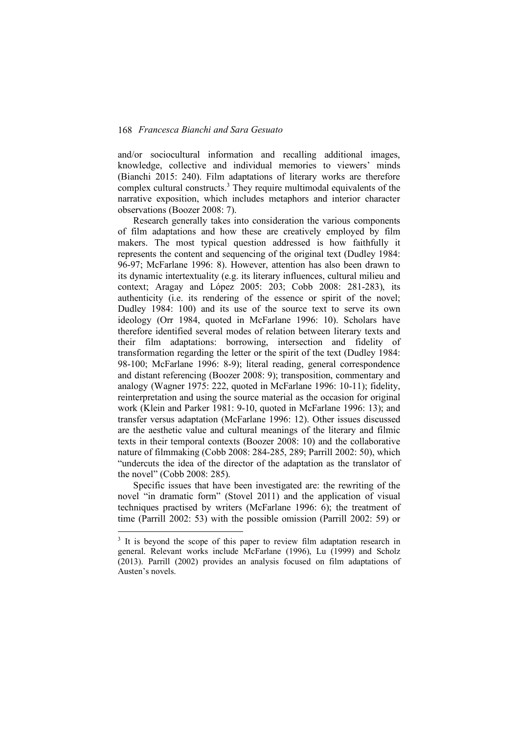and/or sociocultural information and recalling additional images, knowledge, collective and individual memories to viewers' minds (Bianchi 2015: 240). Film adaptations of literary works are therefore complex cultural constructs.3 They require multimodal equivalents of the narrative exposition, which includes metaphors and interior character observations (Boozer 2008: 7).

Research generally takes into consideration the various components of film adaptations and how these are creatively employed by film makers. The most typical question addressed is how faithfully it represents the content and sequencing of the original text (Dudley 1984: 96-97; McFarlane 1996: 8). However, attention has also been drawn to its dynamic intertextuality (e.g. its literary influences, cultural milieu and context; Aragay and López 2005: 203; Cobb 2008: 281-283), its authenticity (i.e. its rendering of the essence or spirit of the novel; Dudley 1984: 100) and its use of the source text to serve its own ideology (Orr 1984, quoted in McFarlane 1996: 10). Scholars have therefore identified several modes of relation between literary texts and their film adaptations: borrowing, intersection and fidelity of transformation regarding the letter or the spirit of the text (Dudley 1984: 98-100; McFarlane 1996: 8-9); literal reading, general correspondence and distant referencing (Boozer 2008: 9); transposition, commentary and analogy (Wagner 1975: 222, quoted in McFarlane 1996: 10-11); fidelity, reinterpretation and using the source material as the occasion for original work (Klein and Parker 1981: 9-10, quoted in McFarlane 1996: 13); and transfer versus adaptation (McFarlane 1996: 12). Other issues discussed are the aesthetic value and cultural meanings of the literary and filmic texts in their temporal contexts (Boozer 2008: 10) and the collaborative nature of filmmaking (Cobb 2008: 284-285, 289; Parrill 2002: 50), which "undercuts the idea of the director of the adaptation as the translator of the novel" (Cobb 2008: 285).

Specific issues that have been investigated are: the rewriting of the novel "in dramatic form" (Stovel 2011) and the application of visual techniques practised by writers (McFarlane 1996: 6); the treatment of time (Parrill 2002: 53) with the possible omission (Parrill 2002: 59) or

<sup>&</sup>lt;sup>3</sup> It is beyond the scope of this paper to review film adaptation research in general. Relevant works include McFarlane (1996), Lu (1999) and Scholz (2013). Parrill (2002) provides an analysis focused on film adaptations of Austen's novels.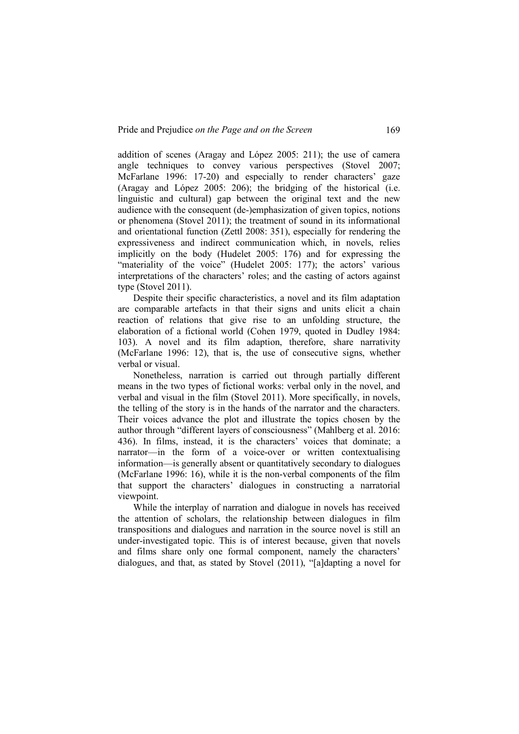addition of scenes (Aragay and López 2005: 211); the use of camera angle techniques to convey various perspectives (Stovel 2007; McFarlane 1996: 17-20) and especially to render characters' gaze (Aragay and López 2005: 206); the bridging of the historical (i.e. linguistic and cultural) gap between the original text and the new audience with the consequent (de-)emphasization of given topics, notions or phenomena (Stovel 2011); the treatment of sound in its informational and orientational function (Zettl 2008: 351), especially for rendering the expressiveness and indirect communication which, in novels, relies implicitly on the body (Hudelet 2005: 176) and for expressing the "materiality of the voice" (Hudelet 2005: 177); the actors' various interpretations of the characters' roles; and the casting of actors against type (Stovel 2011).

Despite their specific characteristics, a novel and its film adaptation are comparable artefacts in that their signs and units elicit a chain reaction of relations that give rise to an unfolding structure, the elaboration of a fictional world (Cohen 1979, quoted in Dudley 1984: 103). A novel and its film adaption, therefore, share narrativity (McFarlane 1996: 12), that is, the use of consecutive signs, whether verbal or visual.

Nonetheless, narration is carried out through partially different means in the two types of fictional works: verbal only in the novel, and verbal and visual in the film (Stovel 2011). More specifically, in novels, the telling of the story is in the hands of the narrator and the characters. Their voices advance the plot and illustrate the topics chosen by the author through "different layers of consciousness" (Mahlberg et al. 2016: 436). In films, instead, it is the characters' voices that dominate; a narrator—in the form of a voice-over or written contextualising information—is generally absent or quantitatively secondary to dialogues (McFarlane 1996: 16), while it is the non-verbal components of the film that support the characters' dialogues in constructing a narratorial viewpoint.

While the interplay of narration and dialogue in novels has received the attention of scholars, the relationship between dialogues in film transpositions and dialogues and narration in the source novel is still an under-investigated topic. This is of interest because, given that novels and films share only one formal component, namely the characters' dialogues, and that, as stated by Stovel (2011), "[a]dapting a novel for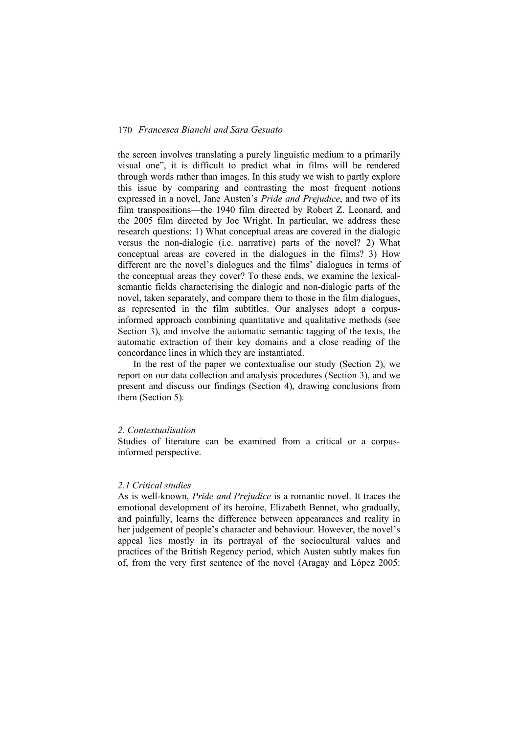the screen involves translating a purely linguistic medium to a primarily visual one", it is difficult to predict what in films will be rendered through words rather than images. In this study we wish to partly explore this issue by comparing and contrasting the most frequent notions expressed in a novel, Jane Austen's *Pride and Prejudice*, and two of its film transpositions—the 1940 film directed by Robert Z. Leonard, and the 2005 film directed by Joe Wright. In particular, we address these research questions: 1) What conceptual areas are covered in the dialogic versus the non-dialogic (i.e. narrative) parts of the novel? 2) What conceptual areas are covered in the dialogues in the films? 3) How different are the novel's dialogues and the films' dialogues in terms of the conceptual areas they cover? To these ends, we examine the lexicalsemantic fields characterising the dialogic and non-dialogic parts of the novel, taken separately, and compare them to those in the film dialogues, as represented in the film subtitles. Our analyses adopt a corpusinformed approach combining quantitative and qualitative methods (see Section 3), and involve the automatic semantic tagging of the texts, the automatic extraction of their key domains and a close reading of the concordance lines in which they are instantiated.

In the rest of the paper we contextualise our study (Section 2), we report on our data collection and analysis procedures (Section 3), and we present and discuss our findings (Section 4), drawing conclusions from them (Section 5).

#### *2. Contextualisation*

Studies of literature can be examined from a critical or a corpusinformed perspective.

#### *2.1 Critical studies*

As is well-known, *Pride and Prejudice* is a romantic novel. It traces the emotional development of its heroine, Elizabeth Bennet, who gradually, and painfully, learns the difference between appearances and reality in her judgement of people's character and behaviour. However, the novel's appeal lies mostly in its portrayal of the sociocultural values and practices of the British Regency period, which Austen subtly makes fun of, from the very first sentence of the novel (Aragay and López 2005: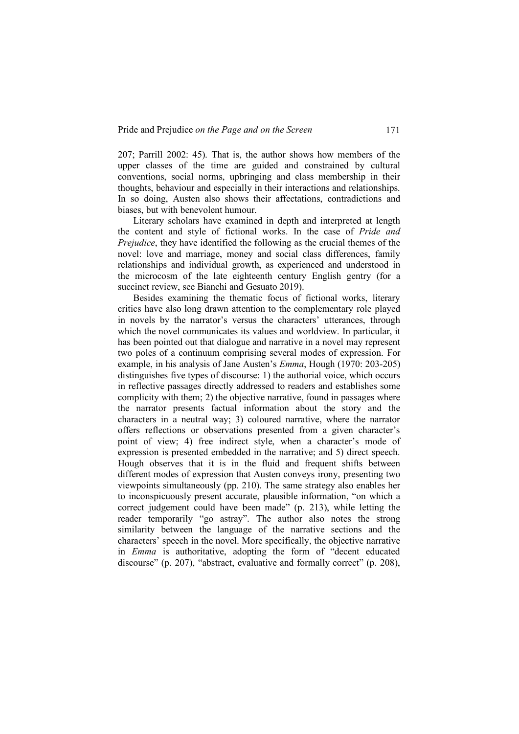207; Parrill 2002: 45). That is, the author shows how members of the upper classes of the time are guided and constrained by cultural conventions, social norms, upbringing and class membership in their thoughts, behaviour and especially in their interactions and relationships. In so doing, Austen also shows their affectations, contradictions and biases, but with benevolent humour.

Literary scholars have examined in depth and interpreted at length the content and style of fictional works. In the case of *Pride and Prejudice*, they have identified the following as the crucial themes of the novel: love and marriage, money and social class differences, family relationships and individual growth, as experienced and understood in the microcosm of the late eighteenth century English gentry (for a succinct review, see Bianchi and Gesuato 2019).

Besides examining the thematic focus of fictional works, literary critics have also long drawn attention to the complementary role played in novels by the narrator's versus the characters' utterances, through which the novel communicates its values and worldview. In particular, it has been pointed out that dialogue and narrative in a novel may represent two poles of a continuum comprising several modes of expression. For example, in his analysis of Jane Austen's *Emma*, Hough (1970: 203-205) distinguishes five types of discourse: 1) the authorial voice, which occurs in reflective passages directly addressed to readers and establishes some complicity with them; 2) the objective narrative, found in passages where the narrator presents factual information about the story and the characters in a neutral way; 3) coloured narrative, where the narrator offers reflections or observations presented from a given character's point of view; 4) free indirect style, when a character's mode of expression is presented embedded in the narrative; and 5) direct speech. Hough observes that it is in the fluid and frequent shifts between different modes of expression that Austen conveys irony, presenting two viewpoints simultaneously (pp. 210). The same strategy also enables her to inconspicuously present accurate, plausible information, "on which a correct judgement could have been made" (p. 213), while letting the reader temporarily "go astray". The author also notes the strong similarity between the language of the narrative sections and the characters' speech in the novel. More specifically, the objective narrative in *Emma* is authoritative, adopting the form of "decent educated discourse" (p. 207), "abstract, evaluative and formally correct" (p. 208),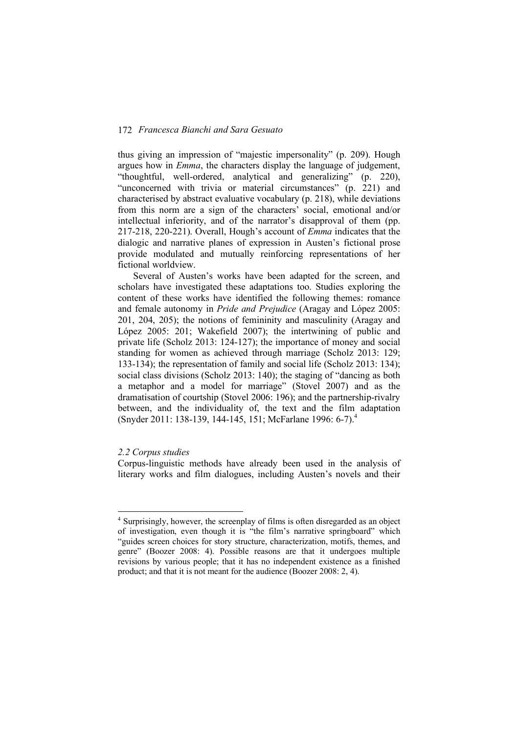thus giving an impression of "majestic impersonality" (p. 209). Hough argues how in *Emma*, the characters display the language of judgement, "thoughtful, well-ordered, analytical and generalizing" (p. 220), "unconcerned with trivia or material circumstances" (p. 221) and characterised by abstract evaluative vocabulary (p. 218), while deviations from this norm are a sign of the characters' social, emotional and/or intellectual inferiority, and of the narrator's disapproval of them (pp. 217-218, 220-221). Overall, Hough's account of *Emma* indicates that the dialogic and narrative planes of expression in Austen's fictional prose provide modulated and mutually reinforcing representations of her fictional worldview.

Several of Austen's works have been adapted for the screen, and scholars have investigated these adaptations too. Studies exploring the content of these works have identified the following themes: romance and female autonomy in *Pride and Prejudice* (Aragay and López 2005: 201, 204, 205); the notions of femininity and masculinity (Aragay and López 2005: 201; Wakefield 2007); the intertwining of public and private life (Scholz 2013: 124-127); the importance of money and social standing for women as achieved through marriage (Scholz 2013: 129; 133-134); the representation of family and social life (Scholz 2013: 134); social class divisions (Scholz 2013: 140); the staging of "dancing as both a metaphor and a model for marriage" (Stovel 2007) and as the dramatisation of courtship (Stovel 2006: 196); and the partnership-rivalry between, and the individuality of, the text and the film adaptation (Snyder 2011: 138-139, 144-145, 151; McFarlane 1996: 6-7).4

# *2.2 Corpus studies*

Corpus-linguistic methods have already been used in the analysis of literary works and film dialogues, including Austen's novels and their

 <sup>4</sup> Surprisingly, however, the screenplay of films is often disregarded as an object of investigation, even though it is "the film's narrative springboard" which "guides screen choices for story structure, characterization, motifs, themes, and genre" (Boozer 2008: 4). Possible reasons are that it undergoes multiple revisions by various people; that it has no independent existence as a finished product; and that it is not meant for the audience (Boozer 2008: 2, 4).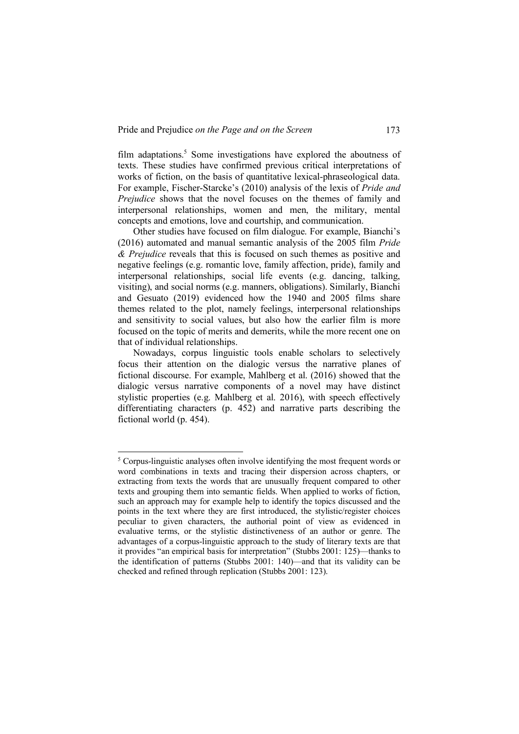film adaptations.<sup>5</sup> Some investigations have explored the aboutness of texts. These studies have confirmed previous critical interpretations of works of fiction, on the basis of quantitative lexical-phraseological data. For example, Fischer-Starcke's (2010) analysis of the lexis of *Pride and Prejudice* shows that the novel focuses on the themes of family and interpersonal relationships, women and men, the military, mental concepts and emotions, love and courtship, and communication.

Other studies have focused on film dialogue. For example, Bianchi's (2016) automated and manual semantic analysis of the 2005 film *Pride & Prejudice* reveals that this is focused on such themes as positive and negative feelings (e.g. romantic love, family affection, pride), family and interpersonal relationships, social life events (e.g. dancing, talking, visiting), and social norms (e.g. manners, obligations). Similarly, Bianchi and Gesuato (2019) evidenced how the 1940 and 2005 films share themes related to the plot, namely feelings, interpersonal relationships and sensitivity to social values, but also how the earlier film is more focused on the topic of merits and demerits, while the more recent one on that of individual relationships.

Nowadays, corpus linguistic tools enable scholars to selectively focus their attention on the dialogic versus the narrative planes of fictional discourse. For example, Mahlberg et al. (2016) showed that the dialogic versus narrative components of a novel may have distinct stylistic properties (e.g. Mahlberg et al. 2016), with speech effectively differentiating characters (p. 452) and narrative parts describing the fictional world (p. 454).

<sup>&</sup>lt;sup>5</sup> Corpus-linguistic analyses often involve identifying the most frequent words or word combinations in texts and tracing their dispersion across chapters, or extracting from texts the words that are unusually frequent compared to other texts and grouping them into semantic fields. When applied to works of fiction, such an approach may for example help to identify the topics discussed and the points in the text where they are first introduced, the stylistic/register choices peculiar to given characters, the authorial point of view as evidenced in evaluative terms, or the stylistic distinctiveness of an author or genre. The advantages of a corpus-linguistic approach to the study of literary texts are that it provides "an empirical basis for interpretation" (Stubbs 2001: 125)—thanks to the identification of patterns (Stubbs 2001: 140)—and that its validity can be checked and refined through replication (Stubbs 2001: 123).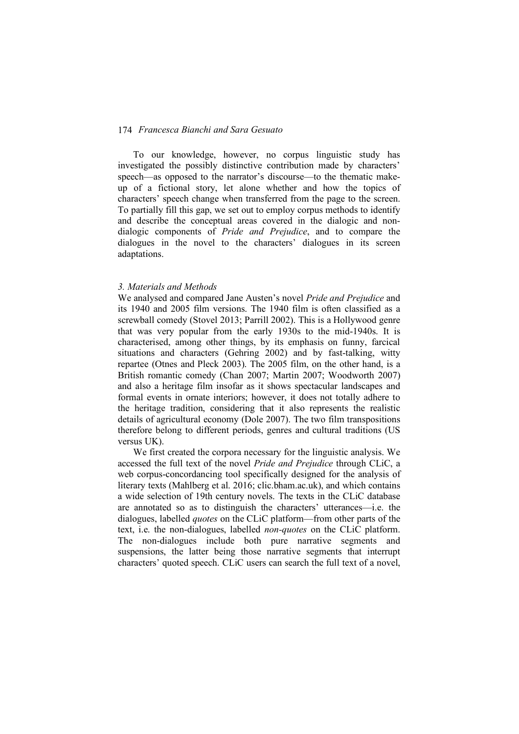To our knowledge, however, no corpus linguistic study has investigated the possibly distinctive contribution made by characters' speech—as opposed to the narrator's discourse—to the thematic makeup of a fictional story, let alone whether and how the topics of characters' speech change when transferred from the page to the screen. To partially fill this gap, we set out to employ corpus methods to identify and describe the conceptual areas covered in the dialogic and nondialogic components of *Pride and Prejudice*, and to compare the dialogues in the novel to the characters' dialogues in its screen adaptations.

#### *3. Materials and Methods*

We analysed and compared Jane Austen's novel *Pride and Prejudice* and its 1940 and 2005 film versions. The 1940 film is often classified as a screwball comedy (Stovel 2013; Parrill 2002). This is a Hollywood genre that was very popular from the early 1930s to the mid-1940s. It is characterised, among other things, by its emphasis on funny, farcical situations and characters (Gehring 2002) and by fast-talking, witty repartee (Otnes and Pleck 2003). The 2005 film, on the other hand, is a British romantic comedy (Chan 2007; Martin 2007; Woodworth 2007) and also a heritage film insofar as it shows spectacular landscapes and formal events in ornate interiors; however, it does not totally adhere to the heritage tradition, considering that it also represents the realistic details of agricultural economy (Dole 2007). The two film transpositions therefore belong to different periods, genres and cultural traditions (US versus UK).

We first created the corpora necessary for the linguistic analysis. We accessed the full text of the novel *Pride and Prejudice* through CLiC, a web corpus-concordancing tool specifically designed for the analysis of literary texts (Mahlberg et al. 2016; clic.bham.ac.uk), and which contains a wide selection of 19th century novels. The texts in the CLiC database are annotated so as to distinguish the characters' utterances—i.e. the dialogues, labelled *quotes* on the CLiC platform—from other parts of the text, i.e. the non-dialogues, labelled *non-quotes* on the CLiC platform. The non-dialogues include both pure narrative segments and suspensions, the latter being those narrative segments that interrupt characters' quoted speech. CLiC users can search the full text of a novel,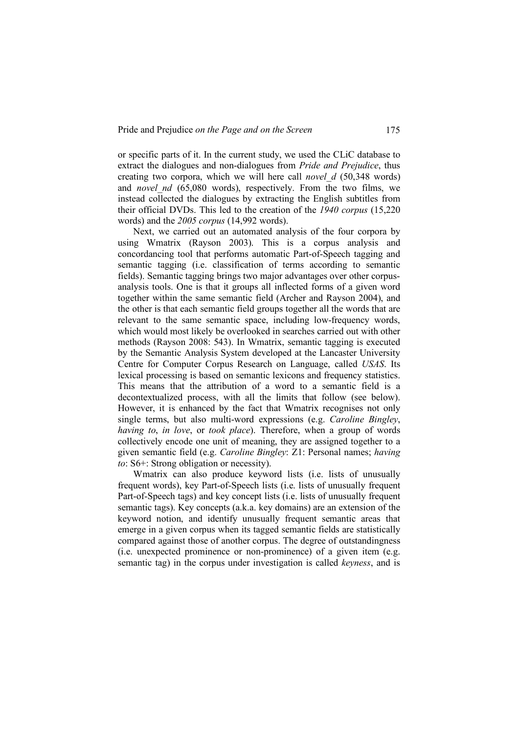or specific parts of it. In the current study, we used the CLiC database to extract the dialogues and non-dialogues from *Pride and Prejudice*, thus creating two corpora, which we will here call *novel\_d* (50,348 words) and *novel nd* (65,080 words), respectively. From the two films, we instead collected the dialogues by extracting the English subtitles from their official DVDs. This led to the creation of the *1940 corpus* (15,220 words) and the *2005 corpus* (14,992 words).

Next, we carried out an automated analysis of the four corpora by using Wmatrix (Rayson 2003). This is a corpus analysis and concordancing tool that performs automatic Part-of-Speech tagging and semantic tagging (i.e. classification of terms according to semantic fields). Semantic tagging brings two major advantages over other corpusanalysis tools. One is that it groups all inflected forms of a given word together within the same semantic field (Archer and Rayson 2004), and the other is that each semantic field groups together all the words that are relevant to the same semantic space, including low-frequency words, which would most likely be overlooked in searches carried out with other methods (Rayson 2008: 543). In Wmatrix, semantic tagging is executed by the Semantic Analysis System developed at the Lancaster University Centre for Computer Corpus Research on Language, called *USAS*. Its lexical processing is based on semantic lexicons and frequency statistics. This means that the attribution of a word to a semantic field is a decontextualized process, with all the limits that follow (see below). However, it is enhanced by the fact that Wmatrix recognises not only single terms, but also multi-word expressions (e.g. *Caroline Bingley*, *having to*, *in love*, or *took place*). Therefore, when a group of words collectively encode one unit of meaning, they are assigned together to a given semantic field (e.g. *Caroline Bingley*: Z1: Personal names; *having to*: S6+: Strong obligation or necessity).

Wmatrix can also produce keyword lists (i.e. lists of unusually frequent words), key Part-of-Speech lists (i.e. lists of unusually frequent Part-of-Speech tags) and key concept lists (i.e. lists of unusually frequent semantic tags). Key concepts (a.k.a. key domains) are an extension of the keyword notion, and identify unusually frequent semantic areas that emerge in a given corpus when its tagged semantic fields are statistically compared against those of another corpus. The degree of outstandingness (i.e. unexpected prominence or non-prominence) of a given item (e.g. semantic tag) in the corpus under investigation is called *keyness*, and is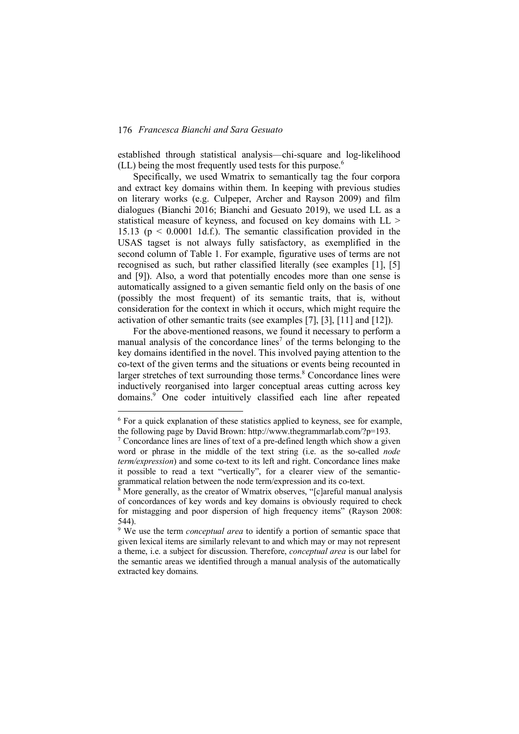established through statistical analysis—chi-square and log-likelihood (LL) being the most frequently used tests for this purpose.<sup>6</sup>

Specifically, we used Wmatrix to semantically tag the four corpora and extract key domains within them. In keeping with previous studies on literary works (e.g. Culpeper, Archer and Rayson 2009) and film dialogues (Bianchi 2016; Bianchi and Gesuato 2019), we used LL as a statistical measure of keyness, and focused on key domains with LL > 15.13 ( $p \le 0.0001$  1d.f.). The semantic classification provided in the USAS tagset is not always fully satisfactory, as exemplified in the second column of Table 1. For example, figurative uses of terms are not recognised as such, but rather classified literally (see examples [1], [5] and [9]). Also, a word that potentially encodes more than one sense is automatically assigned to a given semantic field only on the basis of one (possibly the most frequent) of its semantic traits, that is, without consideration for the context in which it occurs, which might require the activation of other semantic traits (see examples [7], [3], [11] and [12]).

For the above-mentioned reasons, we found it necessary to perform a manual analysis of the concordance lines<sup>7</sup> of the terms belonging to the key domains identified in the novel. This involved paying attention to the co-text of the given terms and the situations or events being recounted in larger stretches of text surrounding those terms.<sup>8</sup> Concordance lines were inductively reorganised into larger conceptual areas cutting across key domains.9 One coder intuitively classified each line after repeated

 <sup>6</sup> For a quick explanation of these statistics applied to keyness, see for example, the following page by David Brown: http://www.thegrammarlab.com/?p=193.

 $\frac{7}{7}$  Concordance lines are lines of text of a pre-defined length which show a given word or phrase in the middle of the text string (i.e. as the so-called *node term/expression*) and some co-text to its left and right. Concordance lines make it possible to read a text "vertically", for a clearer view of the semanticgrammatical relation between the node term/expression and its co-text.

 $8$  More generally, as the creator of Wmatrix observes, "[c]areful manual analysis of concordances of key words and key domains is obviously required to check for mistagging and poor dispersion of high frequency items" (Rayson 2008: 544).

<sup>&</sup>lt;sup>9</sup> We use the term *conceptual area* to identify a portion of semantic space that given lexical items are similarly relevant to and which may or may not represent a theme, i.e. a subject for discussion. Therefore, *conceptual area* is our label for the semantic areas we identified through a manual analysis of the automatically extracted key domains.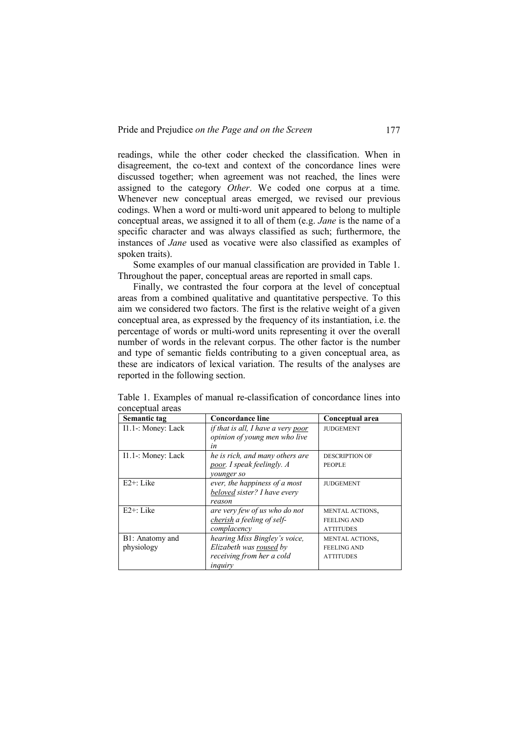readings, while the other coder checked the classification. When in disagreement, the co-text and context of the concordance lines were discussed together; when agreement was not reached, the lines were assigned to the category *Other*. We coded one corpus at a time. Whenever new conceptual areas emerged, we revised our previous codings. When a word or multi-word unit appeared to belong to multiple conceptual areas, we assigned it to all of them (e.g. *Jane* is the name of a specific character and was always classified as such; furthermore, the instances of *Jane* used as vocative were also classified as examples of spoken traits).

Some examples of our manual classification are provided in Table 1. Throughout the paper, conceptual areas are reported in small caps.

Finally, we contrasted the four corpora at the level of conceptual areas from a combined qualitative and quantitative perspective. To this aim we considered two factors. The first is the relative weight of a given conceptual area, as expressed by the frequency of its instantiation, i.e. the percentage of words or multi-word units representing it over the overall number of words in the relevant corpus. The other factor is the number and type of semantic fields contributing to a given conceptual area, as these are indicators of lexical variation. The results of the analyses are reported in the following section.

| Semantic tag       | <b>Concordance line</b>                   | Conceptual area       |
|--------------------|-------------------------------------------|-----------------------|
| I1.1-: Money: Lack | <i>if that is all, I have a very poor</i> | <b>JUDGEMENT</b>      |
|                    | opinion of young men who live             |                       |
|                    | in                                        |                       |
| I1.1-: Money: Lack | he is rich, and many others are           | <b>DESCRIPTION OF</b> |
|                    | poor. I speak feelingly. A                | <b>PEOPLE</b>         |
|                    | younger so                                |                       |
| $E2+$ : Like       | ever, the happiness of a most             | <b>JUDGEMENT</b>      |
|                    | beloved sister? I have every              |                       |
|                    | reason                                    |                       |
| $E2+:$ Like        | are very few of us who do not             | MENTAL ACTIONS,       |
|                    | cherish a feeling of self-                | <b>FEELING AND</b>    |
|                    | complacency                               | <b>ATTITUDES</b>      |
| B1: Anatomy and    | hearing Miss Bingley's voice,             | MENTAL ACTIONS,       |
| physiology         | Elizabeth was roused by                   | <b>FEELING AND</b>    |
|                    | receiving from her a cold                 | <b>ATTITUDES</b>      |
|                    | inquiry                                   |                       |

Table 1. Examples of manual re-classification of concordance lines into conceptual areas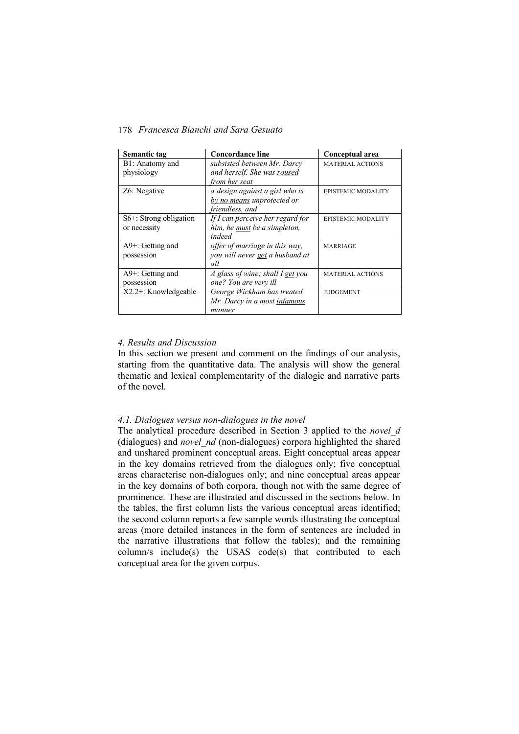| Semantic tag                                 | <b>Concordance line</b>          | Conceptual area           |
|----------------------------------------------|----------------------------------|---------------------------|
| B1: Anatomy and                              | subsisted between Mr. Darcy      | <b>MATERIAL ACTIONS</b>   |
| physiology                                   | and herself. She was roused      |                           |
|                                              | from her seat                    |                           |
| Z6: Negative                                 | a design against a girl who is   | <b>EPISTEMIC MODALITY</b> |
|                                              | by no means unprotected or       |                           |
|                                              | friendless, and                  |                           |
| $S6$ +: Strong obligation                    | If I can perceive her regard for | <b>EPISTEMIC MODALITY</b> |
| or necessity                                 | him, he must be a simpleton,     |                           |
|                                              | indeed                           |                           |
| $A9$ <sup><math>+</math></sup> : Getting and | offer of marriage in this way,   | <b>MARRIAGE</b>           |
| possession                                   | you will never get a husband at  |                           |
|                                              | all                              |                           |
| $A9$ <sup><math>+</math></sup> : Getting and | A glass of wine; shall I get you | <b>MATERIAL ACTIONS</b>   |
| possession                                   | one? You are very ill            |                           |
| $X2.2$ +: Knowledgeable                      | George Wickham has treated       | <b>JUDGEMENT</b>          |
|                                              | Mr. Darcy in a most infamous     |                           |
|                                              | manner                           |                           |

# *4. Results and Discussion*

In this section we present and comment on the findings of our analysis, starting from the quantitative data. The analysis will show the general thematic and lexical complementarity of the dialogic and narrative parts of the novel.

#### *4.1. Dialogues versus non-dialogues in the novel*

The analytical procedure described in Section 3 applied to the *novel\_d* (dialogues) and *novel\_nd* (non-dialogues) corpora highlighted the shared and unshared prominent conceptual areas. Eight conceptual areas appear in the key domains retrieved from the dialogues only; five conceptual areas characterise non-dialogues only; and nine conceptual areas appear in the key domains of both corpora, though not with the same degree of prominence. These are illustrated and discussed in the sections below. In the tables, the first column lists the various conceptual areas identified; the second column reports a few sample words illustrating the conceptual areas (more detailed instances in the form of sentences are included in the narrative illustrations that follow the tables); and the remaining column/s include(s) the USAS code(s) that contributed to each conceptual area for the given corpus.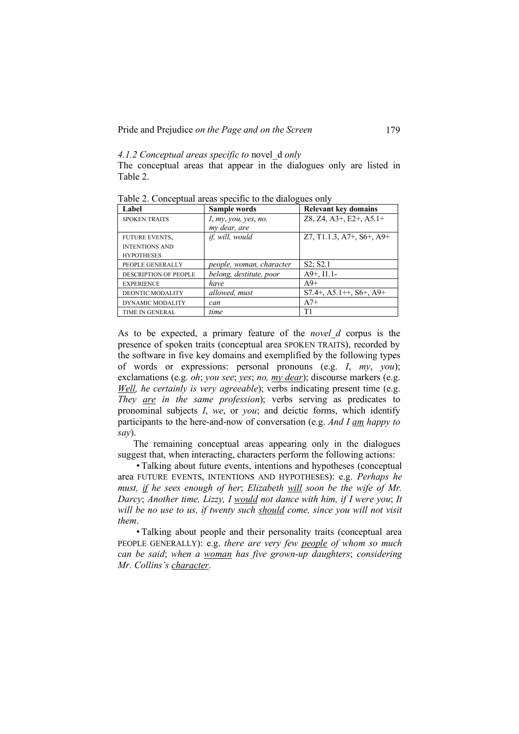Pride and Prejudice *on the Page and on the Screen* 179

# *4.1.2 Conceptual areas specific to* novel\_d *only*

The conceptual areas that appear in the dialogues only are listed in Table 2.

| Label                        | Sample words             | <b>Relevant key domains</b>           |
|------------------------------|--------------------------|---------------------------------------|
| <b>SPOKEN TRAITS</b>         | I, my, you, yes, no,     | $Z8$ , $Z4$ , $A3+$ , $E2+$ , $A5.1+$ |
|                              | my dear, are             |                                       |
| <b>FUTURE EVENTS,</b>        | <i>if, will, would</i>   | $Z7, T1.1.3, A7+, S6+, A9+$           |
| <b>INTENTIONS AND</b>        |                          |                                       |
| <b>HYPOTHESES</b>            |                          |                                       |
| PEOPLE GENERALLY             | people, woman, character | S2: S2.1                              |
| <b>DESCRIPTION OF PEOPLE</b> | belong, destitute, poor  | $A9+$ , $I1.1-$                       |
| <b>EXPERIENCE</b>            | have                     | $A9+$                                 |
| <b>DEONTIC MODALITY</b>      | allowed, must            | $S7.4+$ , A5.1++, S6+, A9+            |
| DYNAMIC MODALITY             | can                      | $A7+$                                 |
| <b>TIME IN GENERAL</b>       | time                     | T1                                    |

Table 2. Conceptual areas specific to the dialogues only

As to be expected, a primary feature of the *novel\_d* corpus is the presence of spoken traits (conceptual area SPOKEN TRAITS), recorded by the software in five key domains and exemplified by the following types of words or expressions: personal pronouns (e.g. *I*, *my*, *you*); exclamations (e.g. *oh*; *you see*; *yes*; *no, my dear*); discourse markers (e.g. *Well, he certainly is very agreeable*); verbs indicating present time (e.g. *They are in the same profession*); verbs serving as predicates to pronominal subjects *I*, *we*, or *you*; and deictic forms, which identify participants to the here-and-now of conversation (e.g. *And I am happy to say*).

The remaining conceptual areas appearing only in the dialogues suggest that, when interacting, characters perform the following actions:

• Talking about future events, intentions and hypotheses (conceptual area FUTURE EVENTS, INTENTIONS AND HYPOTHESES): e.g. *Perhaps he must, if he sees enough of her*; *Elizabeth will soon be the wife of Mr. Darcy*; *Another time, Lizzy, I would not dance with him, if I were you*; *It will be no use to us, if twenty such should come, since you will not visit them*.

• Talking about people and their personality traits (conceptual area PEOPLE GENERALLY): e.g. *there are very few people of whom so much can be said*; *when a woman has five grown-up daughters*; *considering Mr. Collins's character*.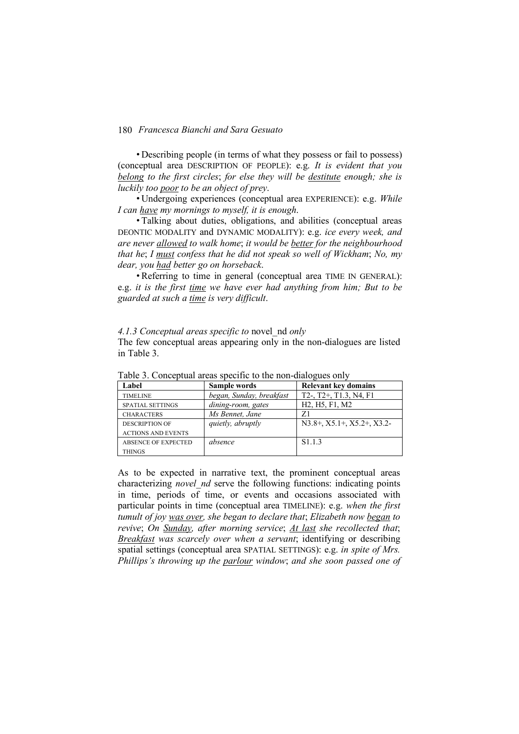• Describing people (in terms of what they possess or fail to possess) (conceptual area DESCRIPTION OF PEOPLE): e.g. *It is evident that you belong to the first circles*; *for else they will be destitute enough; she is luckily too poor to be an object of prey*.

• Undergoing experiences (conceptual area EXPERIENCE): e.g. *While I can have my mornings to myself, it is enough*.

• Talking about duties, obligations, and abilities (conceptual areas DEONTIC MODALITY and DYNAMIC MODALITY): e.g. *ice every week, and are never allowed to walk home*; *it would be better for the neighbourhood that he*; *I must confess that he did not speak so well of Wickham*; *No, my dear, you had better go on horseback*.

• Referring to time in general (conceptual area TIME IN GENERAL): e.g. *it is the first time we have ever had anything from him; But to be guarded at such a time is very difficult*.

#### *4.1.3 Conceptual areas specific to* novel\_nd *only*

The few conceptual areas appearing only in the non-dialogues are listed in Table 3.

| COMPROVEMENT WE WAND DISTRICT TO THE MORE WEEKLY THREE OFFICE |                          |                                                                   |  |
|---------------------------------------------------------------|--------------------------|-------------------------------------------------------------------|--|
| Label                                                         | Sample words             | <b>Relevant key domains</b>                                       |  |
| <b>TIMELINE</b>                                               | began, Sunday, breakfast | T2-, T2+, T1.3, N4, F1                                            |  |
| <b>SPATIAL SETTINGS</b>                                       | dining-room, gates       | H <sub>2</sub> , H <sub>5</sub> , F <sub>1</sub> , M <sub>2</sub> |  |
| <b>CHARACTERS</b>                                             | Ms Bennet, Jane          | Z1                                                                |  |
| <b>DESCRIPTION OF</b>                                         | <i>quietly, abruptly</i> | $N3.8+$ , $X5.1+$ , $X5.2+$ , $X3.2-$                             |  |
| <b>ACTIONS AND EVENTS</b>                                     |                          |                                                                   |  |
| <b>ABSENCE OF EXPECTED</b>                                    | absence                  | S <sub>1.1.3</sub>                                                |  |
| <b>THINGS</b>                                                 |                          |                                                                   |  |

Table 3. Conceptual areas specific to the non-dialogues only

As to be expected in narrative text, the prominent conceptual areas characterizing *novel nd* serve the following functions: indicating points in time, periods of time, or events and occasions associated with particular points in time (conceptual area TIMELINE): e.g. *when the first tumult of joy was over, she began to declare that*; *Elizabeth now began to revive*; *On Sunday, after morning service*; *At last she recollected that*; *Breakfast was scarcely over when a servant*; identifying or describing spatial settings (conceptual area SPATIAL SETTINGS): e.g. *in spite of Mrs. Phillips's throwing up the parlour window*; *and she soon passed one of*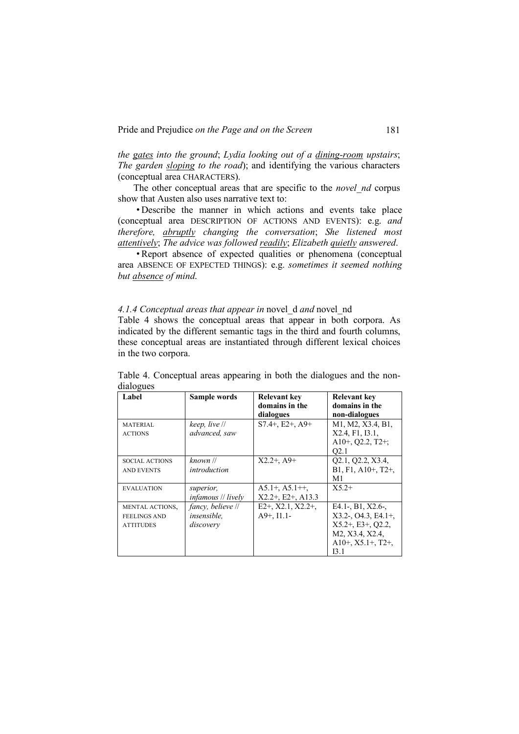*the gates into the ground*; *Lydia looking out of a dining-room upstairs*; *The garden sloping to the road*); and identifying the various characters (conceptual area CHARACTERS).

The other conceptual areas that are specific to the *novel\_nd* corpus show that Austen also uses narrative text to:

• Describe the manner in which actions and events take place (conceptual area DESCRIPTION OF ACTIONS AND EVENTS): e.g. *and therefore, abruptly changing the conversation*; *She listened most attentively*; *The advice was followed readily*; *Elizabeth quietly answered*.

• Report absence of expected qualities or phenomena (conceptual area ABSENCE OF EXPECTED THINGS): e.g. *sometimes it seemed nothing but absence of mind*.

# *4.1.4 Conceptual areas that appear in* novel\_d *and* novel\_nd

Table 4 shows the conceptual areas that appear in both corpora. As indicated by the different semantic tags in the third and fourth columns, these conceptual areas are instantiated through different lexical choices in the two corpora.

| Label                                                      | Sample words                                         | <b>Relevant key</b><br>domains in the<br>dialogues | <b>Relevant kev</b><br>domains in the<br>non-dialogues                                                                             |
|------------------------------------------------------------|------------------------------------------------------|----------------------------------------------------|------------------------------------------------------------------------------------------------------------------------------------|
| <b>MATERIAL</b><br><b>ACTIONS</b>                          | keep, live //<br>advanced, saw                       | $S7.4+$ , E2+, A9+                                 | M1, M2, X3.4, B1,<br>X2.4, F1, I3.1,<br>A10+, O2.2, T2+;<br>O <sub>2.1</sub>                                                       |
| <b>SOCIAL ACTIONS</b><br><b>AND EVENTS</b>                 | known //<br>introduction                             | $X2.2+$ , A9+                                      | Q2.1, Q2.2, X3.4,<br>$B1, F1, A10+, T2+,$<br>M1                                                                                    |
| <b>EVALUATION</b>                                          | superior,<br><i>infamous // lively</i>               | $A5.1+, A5.1++$<br>$X2.2+$ , E2+, A13.3            | $X52+$                                                                                                                             |
| MENTAL ACTIONS,<br><b>FEELINGS AND</b><br><b>ATTITUDES</b> | fancy, believe //<br><i>insensible.</i><br>discovery | $E2+$ , X2.1, X2.2+,<br>$A9+$ , $I1.1-$            | E4.1-, B1, X2.6-,<br>$X3.2$ -, $O4.3$ , $E4.1$ +,<br>$X5.2+$ , E3+, O2.2,<br>M2, X3.4, X2.4,<br>$A10+$ , $X5.1+$ , $T2+$ ,<br>13.1 |

Table 4. Conceptual areas appearing in both the dialogues and the nondialogues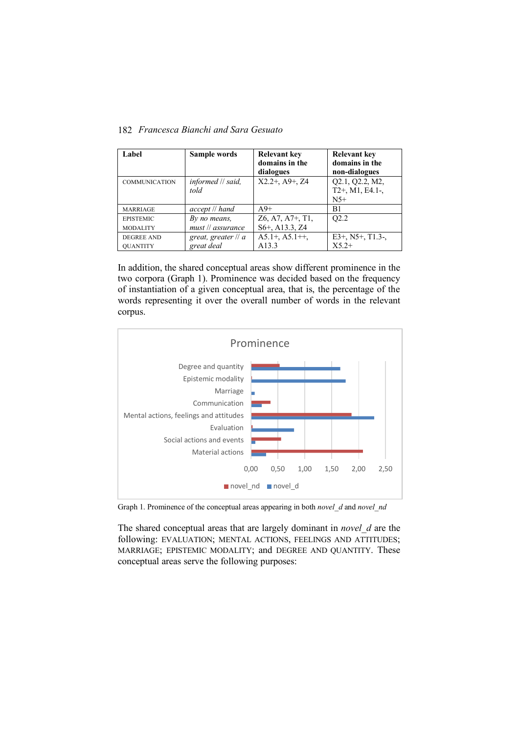| Label                                | Sample words                      | <b>Relevant key</b><br>domains in the<br>dialogues                       | Relevant key<br>domains in the<br>non-dialogues |
|--------------------------------------|-----------------------------------|--------------------------------------------------------------------------|-------------------------------------------------|
| <b>COMMUNICATION</b>                 | $informed$ // said,<br>told       | $X2.2+$ , A9+, Z4                                                        | Q2.1, Q2.2, M2,<br>$T2+$ , M1, E4.1-,<br>$N5+$  |
| <b>MARRIAGE</b>                      | accept // hand                    | $A9+$                                                                    | B1                                              |
| <b>EPISTEMIC</b><br><b>MODALITY</b>  | By no means,<br>must // assurance | Z6, A7, A7+, T1,<br>S <sub>6</sub> +, A <sub>13.3</sub> , Z <sub>4</sub> | O <sub>2.2</sub>                                |
| <b>DEGREE AND</b><br><b>OUANTITY</b> | great, greater // a<br>great deal | $A5.1+, A5.1++$<br>A <sub>13.3</sub>                                     | $E3+$ , N5+, T1.3-,<br>$X52+$                   |

182 *Francesca Bianchi and Sara Gesuato*

In addition, the shared conceptual areas show different prominence in the two corpora (Graph 1). Prominence was decided based on the frequency of instantiation of a given conceptual area, that is, the percentage of the words representing it over the overall number of words in the relevant corpus.



Graph 1. Prominence of the conceptual areas appearing in both *novel\_d* and *novel\_nd*

The shared conceptual areas that are largely dominant in *novel\_d* are the following: EVALUATION; MENTAL ACTIONS, FEELINGS AND ATTITUDES; MARRIAGE; EPISTEMIC MODALITY; and DEGREE AND QUANTITY. These conceptual areas serve the following purposes: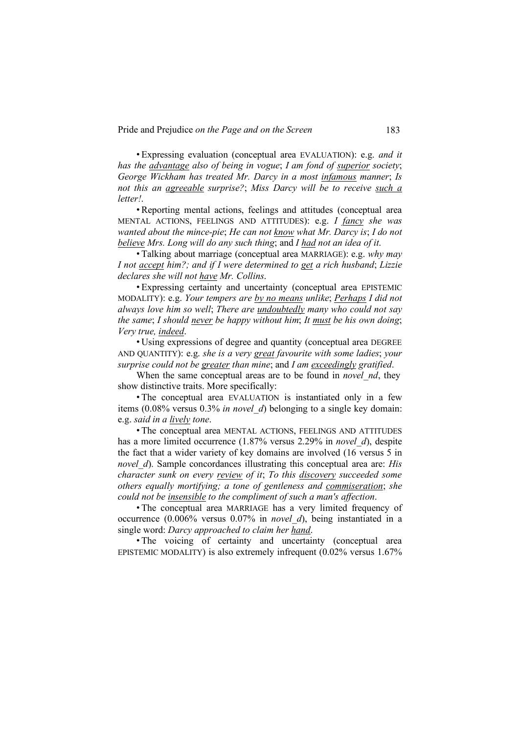Pride and Prejudice *on the Page and on the Screen* 183

• Expressing evaluation (conceptual area EVALUATION): e.g. *and it has the advantage also of being in vogue*; *I am fond of superior society*; *George Wickham has treated Mr. Darcy in a most infamous manner*; *Is not this an agreeable surprise?*; *Miss Darcy will be to receive such a letter!*.

• Reporting mental actions, feelings and attitudes (conceptual area MENTAL ACTIONS, FEELINGS AND ATTITUDES): e.g. *I fancy she was wanted about the mince-pie*; *He can not know what Mr. Darcy is*; *I do not believe Mrs. Long will do any such thing*; and *I had not an idea of it*.

• Talking about marriage (conceptual area MARRIAGE): e.g. *why may I not accept him?; and if I were determined to get a rich husband*; *Lizzie declares she will not have Mr. Collins*.

• Expressing certainty and uncertainty (conceptual area EPISTEMIC MODALITY): e.g. *Your tempers are by no means unlike*; *Perhaps I did not always love him so well*; *There are undoubtedly many who could not say the same*; *I should never be happy without him*; *It must be his own doing*; *Very true, indeed*.

• Using expressions of degree and quantity (conceptual area DEGREE AND QUANTITY): e.g. *she is a very great favourite with some ladies*; *your surprise could not be greater than mine*; and *I am exceedingly gratified*.

When the same conceptual areas are to be found in *novel nd*, they show distinctive traits. More specifically:

• The conceptual area EVALUATION is instantiated only in a few items (0.08% versus 0.3% *in novel\_d*) belonging to a single key domain: e.g. *said in a lively tone*.

• The conceptual area MENTAL ACTIONS, FEELINGS AND ATTITUDES has a more limited occurrence (1.87% versus 2.29% in *novel\_d*), despite the fact that a wider variety of key domains are involved (16 versus 5 in *novel d*). Sample concordances illustrating this conceptual area are: *His character sunk on every review of it*; *To this discovery succeeded some others equally mortifying; a tone of gentleness and commiseration*; *she could not be insensible to the compliment of such a man's affection*.

• The conceptual area MARRIAGE has a very limited frequency of occurrence (0.006% versus 0.07% in *novel\_d*), being instantiated in a single word: *Darcy approached to claim her hand*.

• The voicing of certainty and uncertainty (conceptual area EPISTEMIC MODALITY) is also extremely infrequent (0.02% versus 1.67%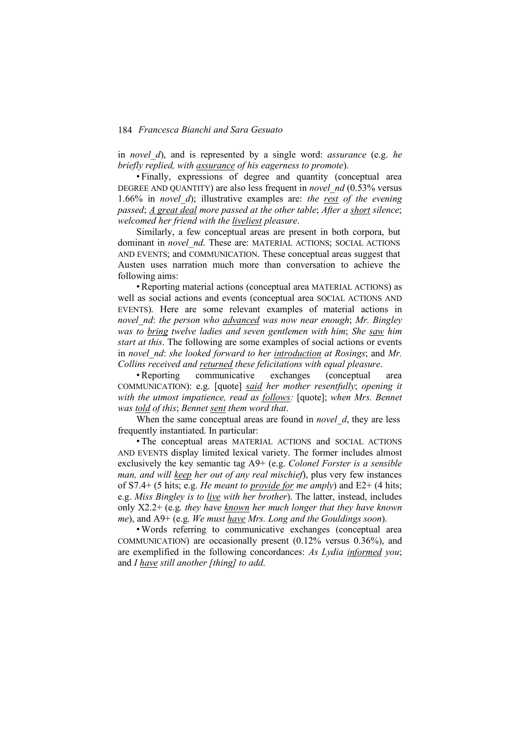in *novel\_d*), and is represented by a single word: *assurance* (e.g. *he briefly replied, with assurance of his eagerness to promote*).

• Finally, expressions of degree and quantity (conceptual area DEGREE AND QUANTITY) are also less frequent in *novel\_nd* (0.53% versus 1.66% in *novel\_d*); illustrative examples are: *the rest of the evening passed*; *A great deal more passed at the other table*; *After a short silence*; *welcomed her friend with the liveliest pleasure*.

Similarly, a few conceptual areas are present in both corpora, but dominant in *novel nd*. These are: MATERIAL ACTIONS; SOCIAL ACTIONS AND EVENTS; and COMMUNICATION. These conceptual areas suggest that Austen uses narration much more than conversation to achieve the following aims:

• Reporting material actions (conceptual area MATERIAL ACTIONS) as well as social actions and events (conceptual area SOCIAL ACTIONS AND EVENTS). Here are some relevant examples of material actions in *novel\_nd*: *the person who advanced was now near enough*; *Mr. Bingley was to bring twelve ladies and seven gentlemen with him*; *She saw him start at this*. The following are some examples of social actions or events in *novel\_nd*: *she looked forward to her introduction at Rosings*; and *Mr. Collins received and returned these felicitations with equal pleasure*.

• Reporting communicative exchanges (conceptual area COMMUNICATION): e.g. [quote] *said her mother resentfully*; *opening it with the utmost impatience, read as follows:* [quote]; *when Mrs. Bennet was told of this*; *Bennet sent them word that*.

When the same conceptual areas are found in *novel d*, they are less frequently instantiated. In particular:

• The conceptual areas MATERIAL ACTIONS and SOCIAL ACTIONS AND EVENTS display limited lexical variety. The former includes almost exclusively the key semantic tag A9+ (e.g. *Colonel Forster is a sensible man, and will keep her out of any real mischief*), plus very few instances of S7.4+ (5 hits; e.g. *He meant to provide for me amply*) and E2+ (4 hits; e.g. *Miss Bingley is to live with her brother*). The latter, instead, includes only X2.2+ (e.g. *they have known her much longer that they have known me*), and A9+ (e.g. *We must have Mrs. Long and the Gouldings soon*).

• Words referring to communicative exchanges (conceptual area COMMUNICATION) are occasionally present (0.12% versus 0.36%), and are exemplified in the following concordances: *As Lydia informed you*; and *I have still another [thing] to add*.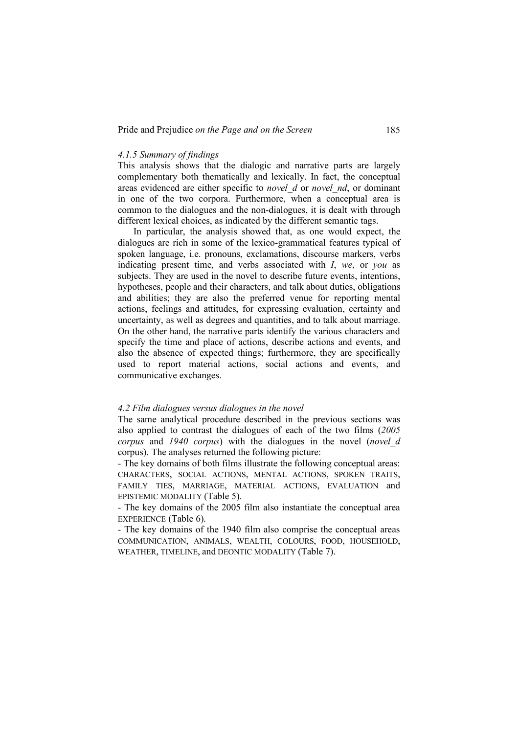#### *4.1.5 Summary of findings*

This analysis shows that the dialogic and narrative parts are largely complementary both thematically and lexically. In fact, the conceptual areas evidenced are either specific to *novel\_d* or *novel\_nd*, or dominant in one of the two corpora. Furthermore, when a conceptual area is common to the dialogues and the non-dialogues, it is dealt with through different lexical choices, as indicated by the different semantic tags.

In particular, the analysis showed that, as one would expect, the dialogues are rich in some of the lexico-grammatical features typical of spoken language, i.e. pronouns, exclamations, discourse markers, verbs indicating present time, and verbs associated with *I*, *we*, or *you* as subjects. They are used in the novel to describe future events, intentions, hypotheses, people and their characters, and talk about duties, obligations and abilities; they are also the preferred venue for reporting mental actions, feelings and attitudes, for expressing evaluation, certainty and uncertainty, as well as degrees and quantities, and to talk about marriage. On the other hand, the narrative parts identify the various characters and specify the time and place of actions, describe actions and events, and also the absence of expected things; furthermore, they are specifically used to report material actions, social actions and events, and communicative exchanges.

#### *4.2 Film dialogues versus dialogues in the novel*

The same analytical procedure described in the previous sections was also applied to contrast the dialogues of each of the two films (*2005 corpus* and *1940 corpus*) with the dialogues in the novel (*novel\_d* corpus). The analyses returned the following picture:

- The key domains of both films illustrate the following conceptual areas: CHARACTERS, SOCIAL ACTIONS, MENTAL ACTIONS, SPOKEN TRAITS, FAMILY TIES, MARRIAGE, MATERIAL ACTIONS, EVALUATION and EPISTEMIC MODALITY (Table 5).

- The key domains of the 2005 film also instantiate the conceptual area EXPERIENCE (Table 6).

- The key domains of the 1940 film also comprise the conceptual areas COMMUNICATION, ANIMALS, WEALTH, COLOURS, FOOD, HOUSEHOLD, WEATHER, TIMELINE, and DEONTIC MODALITY (Table 7).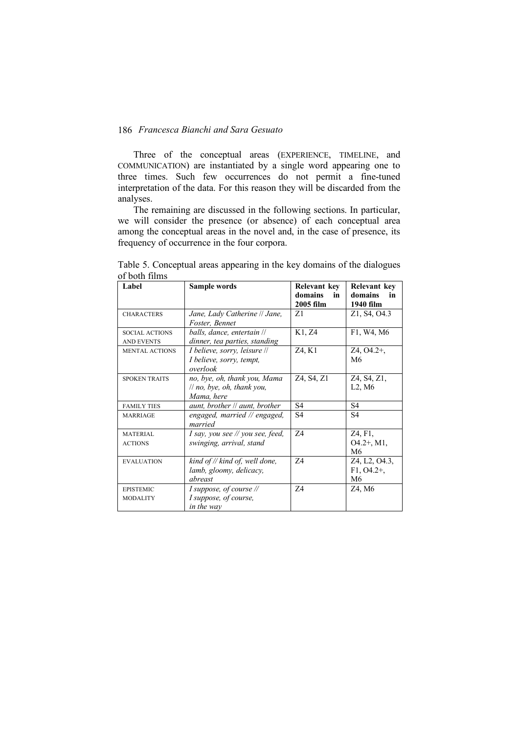Three of the conceptual areas (EXPERIENCE, TIMELINE, and COMMUNICATION) are instantiated by a single word appearing one to three times. Such few occurrences do not permit a fine-tuned interpretation of the data. For this reason they will be discarded from the analyses.

The remaining are discussed in the following sections. In particular, we will consider the presence (or absence) of each conceptual area among the conceptual areas in the novel and, in the case of presence, its frequency of occurrence in the four corpora.

| Label                                      | Sample words                                                             | Relevant key<br>domains<br>in | Relevant key<br>domains<br>in        |
|--------------------------------------------|--------------------------------------------------------------------------|-------------------------------|--------------------------------------|
|                                            |                                                                          | 2005 film                     | 1940 film                            |
| <b>CHARACTERS</b>                          | Jane, Lady Catherine // Jane,<br>Foster, Bennet                          | 71                            | Z1, S4, O4.3                         |
| <b>SOCIAL ACTIONS</b><br><b>AND EVENTS</b> | balls, dance, entertain //<br>dinner, tea parties, standing              | K1, Z4                        | F1, W4, M6                           |
| <b>MENTAL ACTIONS</b>                      | I believe, sorry, leisure //<br>I believe, sorry, tempt,<br>overlook     | Z4, K1                        | $Z4, O4.2+,$<br>M6                   |
| <b>SPOKEN TRAITS</b>                       | no, bye, oh, thank you, Mama<br>// no, bye, oh, thank you,<br>Mama, here | Z4, S4, Z1                    | Z4, S4, Z1,<br>$L2$ , M <sub>6</sub> |
| <b>FAMILY TIES</b>                         | aunt, brother // aunt, brother                                           | S4                            | S <sub>4</sub>                       |
| <b>MARRIAGE</b>                            | engaged, married // engaged,<br>married                                  | S4                            | S4                                   |
| <b>MATERIAL</b><br><b>ACTIONS</b>          | I say, you see // you see, feed,<br>swinging, arrival, stand             | 74                            | Z4, F1,<br>$O4.2+$ , M1,<br>M6       |
| <b>EVALUATION</b>                          | kind of // kind of, well done,<br>lamb, gloomy, delicacy,<br>abreast     | 74                            | Z4, L2, O4.3,<br>$F1, O4.2+,$<br>M6  |
| <b>EPISTEMIC</b><br><b>MODALITY</b>        | I suppose, of course //<br>I suppose, of course,<br>in the way           | 74                            | Z4, M6                               |

Table 5. Conceptual areas appearing in the key domains of the dialogues of both films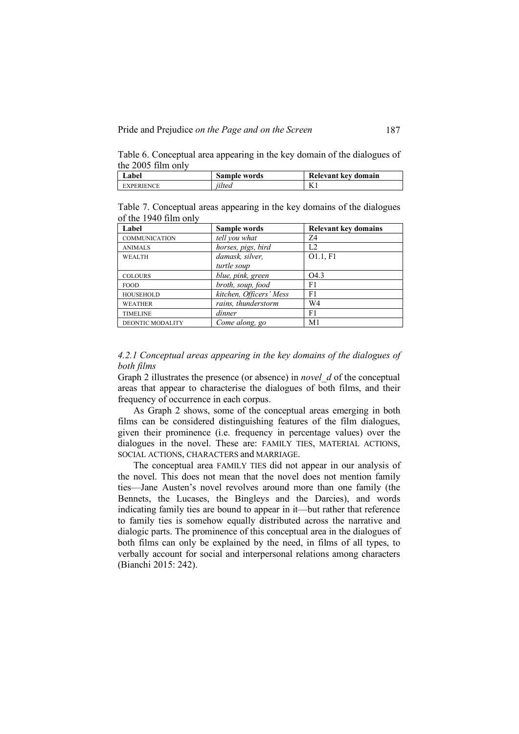Pride and Prejudice *on the Page and on the Screen* 187

Table 6. Conceptual area appearing in the key domain of the dialogues of the 2005 film only

| ∟abel             | Sample words | Relevant key domain |
|-------------------|--------------|---------------------|
| <b>EXPERIENCE</b> | iilted       | $\mathbf{L}$        |

Table 7. Conceptual areas appearing in the key domains of the dialogues of the 1940 film only

| Label                   | Sample words            | <b>Relevant key domains</b> |
|-------------------------|-------------------------|-----------------------------|
| <b>COMMUNICATION</b>    | tell vou what           | 74                          |
| <b>ANIMALS</b>          | horses, pigs, bird      | L <sub>2</sub>              |
| <b>WEALTH</b>           | damask, silver,         | O1.1, F1                    |
|                         | turtle soup             |                             |
| <b>COLOURS</b>          | blue, pink, green       | O <sub>4.3</sub>            |
| <b>FOOD</b>             | broth, soup, food       | F1                          |
| <b>HOUSEHOLD</b>        | kitchen, Officers' Mess | F1                          |
| <b>WEATHER</b>          | rains, thunderstorm     | W <sub>4</sub>              |
| <b>TIMELINE</b>         | dinner                  | F1                          |
| <b>DEONTIC MODALITY</b> | Come along, go          | M <sub>1</sub>              |

*4.2.1 Conceptual areas appearing in the key domains of the dialogues of both films*

Graph 2 illustrates the presence (or absence) in *novel\_d* of the conceptual areas that appear to characterise the dialogues of both films, and their frequency of occurrence in each corpus.

As Graph 2 shows, some of the conceptual areas emerging in both films can be considered distinguishing features of the film dialogues, given their prominence (i.e. frequency in percentage values) over the dialogues in the novel. These are: FAMILY TIES, MATERIAL ACTIONS, SOCIAL ACTIONS, CHARACTERS and MARRIAGE.

The conceptual area FAMILY TIES did not appear in our analysis of the novel. This does not mean that the novel does not mention family ties—Jane Austen's novel revolves around more than one family (the Bennets, the Lucases, the Bingleys and the Darcies), and words indicating family ties are bound to appear in it—but rather that reference to family ties is somehow equally distributed across the narrative and dialogic parts. The prominence of this conceptual area in the dialogues of both films can only be explained by the need, in films of all types, to verbally account for social and interpersonal relations among characters (Bianchi 2015: 242).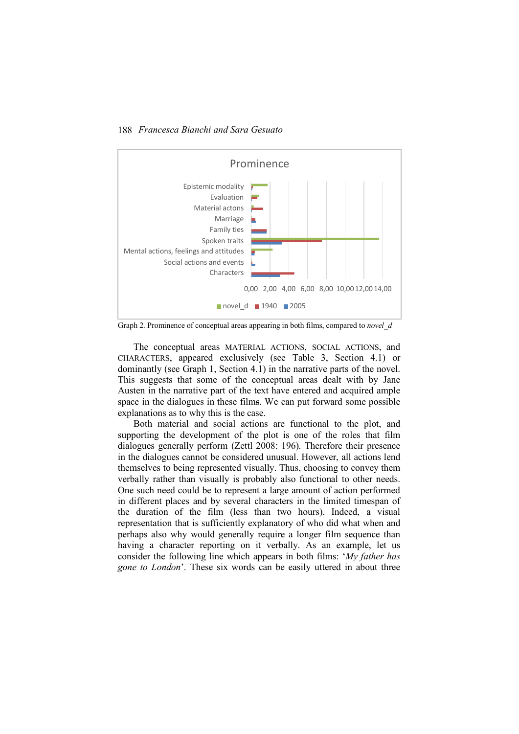188 *Francesca Bianchi and Sara Gesuato*



Graph 2. Prominence of conceptual areas appearing in both films, compared to *novel\_d*

The conceptual areas MATERIAL ACTIONS, SOCIAL ACTIONS, and CHARACTERS, appeared exclusively (see Table 3, Section 4.1) or dominantly (see Graph 1, Section 4.1) in the narrative parts of the novel. This suggests that some of the conceptual areas dealt with by Jane Austen in the narrative part of the text have entered and acquired ample space in the dialogues in these films. We can put forward some possible explanations as to why this is the case.

Both material and social actions are functional to the plot, and supporting the development of the plot is one of the roles that film dialogues generally perform (Zettl 2008: 196). Therefore their presence in the dialogues cannot be considered unusual. However, all actions lend themselves to being represented visually. Thus, choosing to convey them verbally rather than visually is probably also functional to other needs. One such need could be to represent a large amount of action performed in different places and by several characters in the limited timespan of the duration of the film (less than two hours). Indeed, a visual representation that is sufficiently explanatory of who did what when and perhaps also why would generally require a longer film sequence than having a character reporting on it verbally. As an example, let us consider the following line which appears in both films: '*My father has gone to London*'. These six words can be easily uttered in about three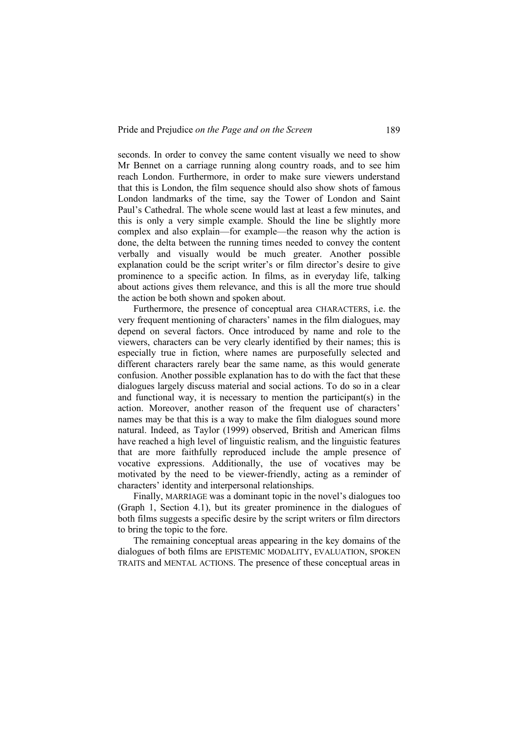seconds. In order to convey the same content visually we need to show Mr Bennet on a carriage running along country roads, and to see him reach London. Furthermore, in order to make sure viewers understand that this is London, the film sequence should also show shots of famous London landmarks of the time, say the Tower of London and Saint Paul's Cathedral. The whole scene would last at least a few minutes, and this is only a very simple example. Should the line be slightly more complex and also explain—for example—the reason why the action is done, the delta between the running times needed to convey the content verbally and visually would be much greater. Another possible explanation could be the script writer's or film director's desire to give prominence to a specific action. In films, as in everyday life, talking about actions gives them relevance, and this is all the more true should the action be both shown and spoken about.

Furthermore, the presence of conceptual area CHARACTERS, i.e. the very frequent mentioning of characters' names in the film dialogues, may depend on several factors. Once introduced by name and role to the viewers, characters can be very clearly identified by their names; this is especially true in fiction, where names are purposefully selected and different characters rarely bear the same name, as this would generate confusion. Another possible explanation has to do with the fact that these dialogues largely discuss material and social actions. To do so in a clear and functional way, it is necessary to mention the participant(s) in the action. Moreover, another reason of the frequent use of characters' names may be that this is a way to make the film dialogues sound more natural. Indeed, as Taylor (1999) observed, British and American films have reached a high level of linguistic realism, and the linguistic features that are more faithfully reproduced include the ample presence of vocative expressions. Additionally, the use of vocatives may be motivated by the need to be viewer-friendly, acting as a reminder of characters' identity and interpersonal relationships.

Finally, MARRIAGE was a dominant topic in the novel's dialogues too (Graph 1, Section 4.1), but its greater prominence in the dialogues of both films suggests a specific desire by the script writers or film directors to bring the topic to the fore.

The remaining conceptual areas appearing in the key domains of the dialogues of both films are EPISTEMIC MODALITY, EVALUATION, SPOKEN TRAITS and MENTAL ACTIONS. The presence of these conceptual areas in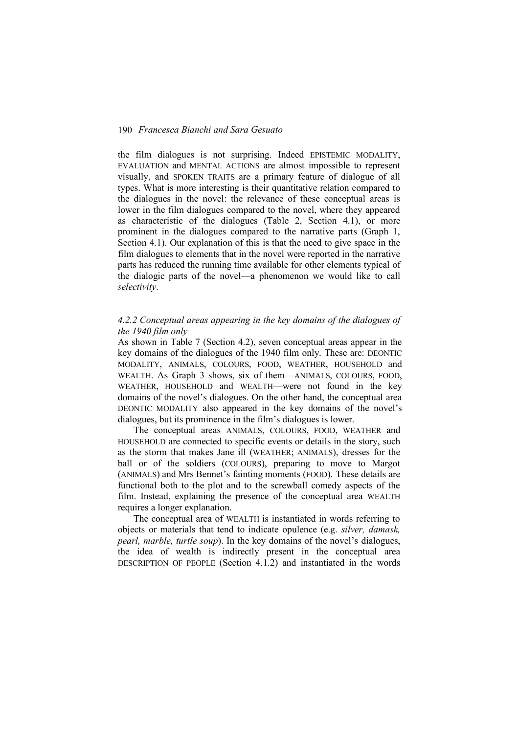the film dialogues is not surprising. Indeed EPISTEMIC MODALITY, EVALUATION and MENTAL ACTIONS are almost impossible to represent visually, and SPOKEN TRAITS are a primary feature of dialogue of all types. What is more interesting is their quantitative relation compared to the dialogues in the novel: the relevance of these conceptual areas is lower in the film dialogues compared to the novel, where they appeared as characteristic of the dialogues (Table 2, Section 4.1), or more prominent in the dialogues compared to the narrative parts (Graph 1, Section 4.1). Our explanation of this is that the need to give space in the film dialogues to elements that in the novel were reported in the narrative parts has reduced the running time available for other elements typical of the dialogic parts of the novel—a phenomenon we would like to call *selectivity*.

# *4.2.2 Conceptual areas appearing in the key domains of the dialogues of the 1940 film only*

As shown in Table 7 (Section 4.2), seven conceptual areas appear in the key domains of the dialogues of the 1940 film only. These are: DEONTIC MODALITY, ANIMALS, COLOURS, FOOD, WEATHER, HOUSEHOLD and WEALTH. As Graph 3 shows, six of them—ANIMALS, COLOURS, FOOD, WEATHER, HOUSEHOLD and WEALTH—were not found in the key domains of the novel's dialogues. On the other hand, the conceptual area DEONTIC MODALITY also appeared in the key domains of the novel's dialogues, but its prominence in the film's dialogues is lower.

The conceptual areas ANIMALS, COLOURS, FOOD, WEATHER and HOUSEHOLD are connected to specific events or details in the story, such as the storm that makes Jane ill (WEATHER; ANIMALS), dresses for the ball or of the soldiers (COLOURS), preparing to move to Margot (ANIMALS) and Mrs Bennet's fainting moments (FOOD). These details are functional both to the plot and to the screwball comedy aspects of the film. Instead, explaining the presence of the conceptual area WEALTH requires a longer explanation.

The conceptual area of WEALTH is instantiated in words referring to objects or materials that tend to indicate opulence (e.g. *silver, damask, pearl, marble, turtle soup*). In the key domains of the novel's dialogues, the idea of wealth is indirectly present in the conceptual area DESCRIPTION OF PEOPLE (Section 4.1.2) and instantiated in the words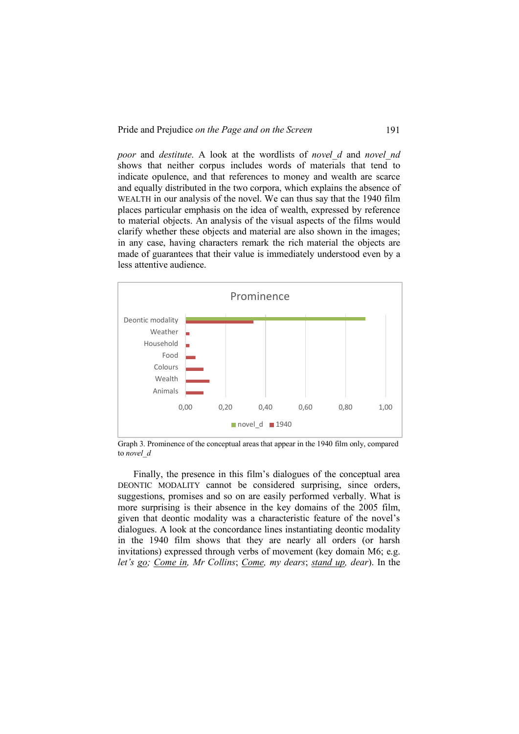*poor* and *destitute*. A look at the wordlists of *novel\_d* and *novel\_nd* shows that neither corpus includes words of materials that tend to indicate opulence, and that references to money and wealth are scarce and equally distributed in the two corpora, which explains the absence of WEALTH in our analysis of the novel. We can thus say that the 1940 film places particular emphasis on the idea of wealth, expressed by reference to material objects. An analysis of the visual aspects of the films would clarify whether these objects and material are also shown in the images; in any case, having characters remark the rich material the objects are made of guarantees that their value is immediately understood even by a less attentive audience.



Graph 3. Prominence of the conceptual areas that appear in the 1940 film only, compared to *novel\_d*

Finally, the presence in this film's dialogues of the conceptual area DEONTIC MODALITY cannot be considered surprising, since orders, suggestions, promises and so on are easily performed verbally. What is more surprising is their absence in the key domains of the 2005 film, given that deontic modality was a characteristic feature of the novel's dialogues. A look at the concordance lines instantiating deontic modality in the 1940 film shows that they are nearly all orders (or harsh invitations) expressed through verbs of movement (key domain M6; e.g. *let's go; Come in, Mr Collins*; *Come, my dears*; *stand up, dear*). In the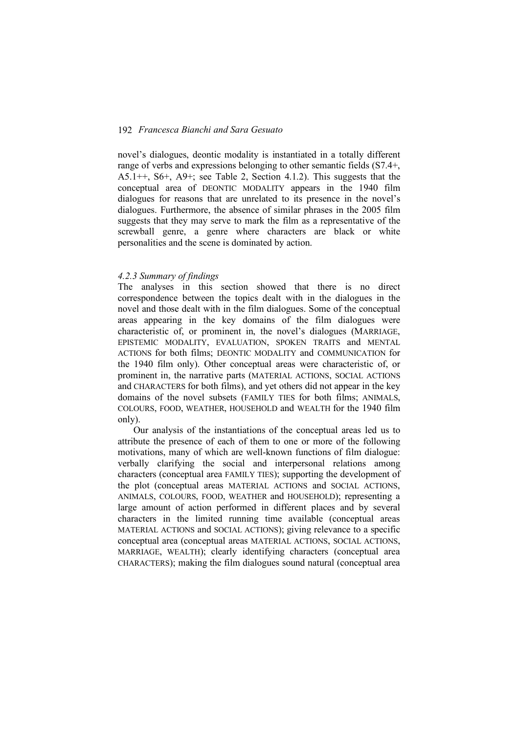novel's dialogues, deontic modality is instantiated in a totally different range of verbs and expressions belonging to other semantic fields (S7.4+, A5.1++, S6+, A9+; see Table 2, Section 4.1.2). This suggests that the conceptual area of DEONTIC MODALITY appears in the 1940 film dialogues for reasons that are unrelated to its presence in the novel's dialogues. Furthermore, the absence of similar phrases in the 2005 film suggests that they may serve to mark the film as a representative of the screwball genre, a genre where characters are black or white personalities and the scene is dominated by action.

#### *4.2.3 Summary of findings*

The analyses in this section showed that there is no direct correspondence between the topics dealt with in the dialogues in the novel and those dealt with in the film dialogues. Some of the conceptual areas appearing in the key domains of the film dialogues were characteristic of, or prominent in, the novel's dialogues (MARRIAGE, EPISTEMIC MODALITY, EVALUATION, SPOKEN TRAITS and MENTAL ACTIONS for both films; DEONTIC MODALITY and COMMUNICATION for the 1940 film only). Other conceptual areas were characteristic of, or prominent in, the narrative parts (MATERIAL ACTIONS, SOCIAL ACTIONS and CHARACTERS for both films), and yet others did not appear in the key domains of the novel subsets (FAMILY TIES for both films; ANIMALS, COLOURS, FOOD, WEATHER, HOUSEHOLD and WEALTH for the 1940 film only).

Our analysis of the instantiations of the conceptual areas led us to attribute the presence of each of them to one or more of the following motivations, many of which are well-known functions of film dialogue: verbally clarifying the social and interpersonal relations among characters (conceptual area FAMILY TIES); supporting the development of the plot (conceptual areas MATERIAL ACTIONS and SOCIAL ACTIONS, ANIMALS, COLOURS, FOOD, WEATHER and HOUSEHOLD); representing a large amount of action performed in different places and by several characters in the limited running time available (conceptual areas MATERIAL ACTIONS and SOCIAL ACTIONS); giving relevance to a specific conceptual area (conceptual areas MATERIAL ACTIONS, SOCIAL ACTIONS, MARRIAGE, WEALTH); clearly identifying characters (conceptual area CHARACTERS); making the film dialogues sound natural (conceptual area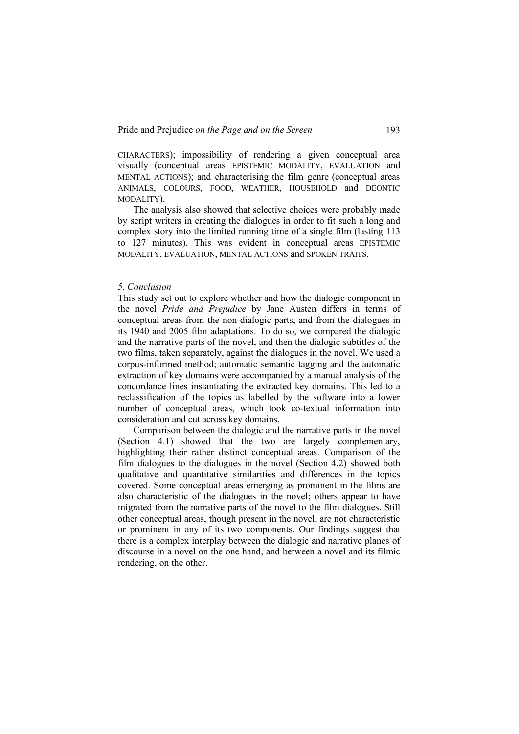CHARACTERS); impossibility of rendering a given conceptual area visually (conceptual areas EPISTEMIC MODALITY, EVALUATION and MENTAL ACTIONS); and characterising the film genre (conceptual areas ANIMALS, COLOURS, FOOD, WEATHER, HOUSEHOLD and DEONTIC MODALITY).

The analysis also showed that selective choices were probably made by script writers in creating the dialogues in order to fit such a long and complex story into the limited running time of a single film (lasting 113 to 127 minutes). This was evident in conceptual areas EPISTEMIC MODALITY, EVALUATION, MENTAL ACTIONS and SPOKEN TRAITS.

#### *5. Conclusion*

This study set out to explore whether and how the dialogic component in the novel *Pride and Prejudice* by Jane Austen differs in terms of conceptual areas from the non-dialogic parts, and from the dialogues in its 1940 and 2005 film adaptations. To do so, we compared the dialogic and the narrative parts of the novel, and then the dialogic subtitles of the two films, taken separately, against the dialogues in the novel. We used a corpus-informed method; automatic semantic tagging and the automatic extraction of key domains were accompanied by a manual analysis of the concordance lines instantiating the extracted key domains. This led to a reclassification of the topics as labelled by the software into a lower number of conceptual areas, which took co-textual information into consideration and cut across key domains.

Comparison between the dialogic and the narrative parts in the novel (Section 4.1) showed that the two are largely complementary, highlighting their rather distinct conceptual areas. Comparison of the film dialogues to the dialogues in the novel (Section 4.2) showed both qualitative and quantitative similarities and differences in the topics covered. Some conceptual areas emerging as prominent in the films are also characteristic of the dialogues in the novel; others appear to have migrated from the narrative parts of the novel to the film dialogues. Still other conceptual areas, though present in the novel, are not characteristic or prominent in any of its two components. Our findings suggest that there is a complex interplay between the dialogic and narrative planes of discourse in a novel on the one hand, and between a novel and its filmic rendering, on the other.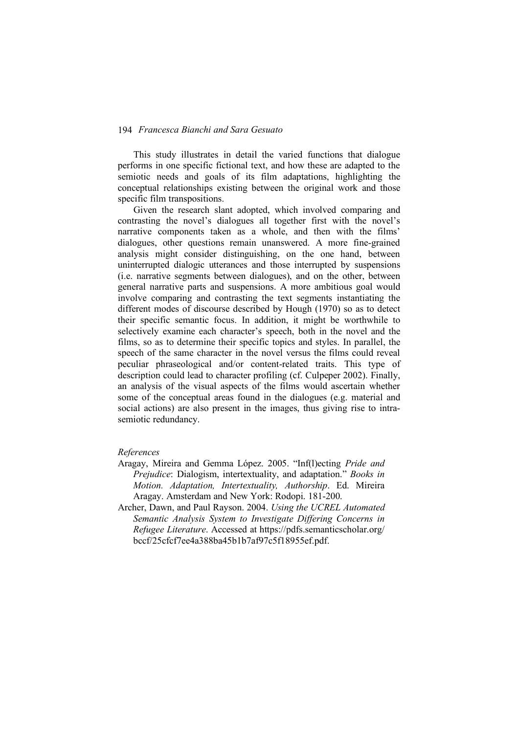This study illustrates in detail the varied functions that dialogue performs in one specific fictional text, and how these are adapted to the semiotic needs and goals of its film adaptations, highlighting the conceptual relationships existing between the original work and those specific film transpositions.

Given the research slant adopted, which involved comparing and contrasting the novel's dialogues all together first with the novel's narrative components taken as a whole, and then with the films' dialogues, other questions remain unanswered. A more fine-grained analysis might consider distinguishing, on the one hand, between uninterrupted dialogic utterances and those interrupted by suspensions (i.e. narrative segments between dialogues), and on the other, between general narrative parts and suspensions. A more ambitious goal would involve comparing and contrasting the text segments instantiating the different modes of discourse described by Hough (1970) so as to detect their specific semantic focus. In addition, it might be worthwhile to selectively examine each character's speech, both in the novel and the films, so as to determine their specific topics and styles. In parallel, the speech of the same character in the novel versus the films could reveal peculiar phraseological and/or content-related traits. This type of description could lead to character profiling (cf. Culpeper 2002). Finally, an analysis of the visual aspects of the films would ascertain whether some of the conceptual areas found in the dialogues (e.g. material and social actions) are also present in the images, thus giving rise to intrasemiotic redundancy.

# *References*

- Aragay, Mireira and Gemma López. 2005. "Inf(l)ecting *Pride and Prejudice*: Dialogism, intertextuality, and adaptation." *Books in Motion. Adaptation, Intertextuality, Authorship*. Ed. Mireira Aragay. Amsterdam and New York: Rodopi. 181-200.
- Archer, Dawn, and Paul Rayson. 2004. *Using the UCREL Automated Semantic Analysis System to Investigate Differing Concerns in Refugee Literature*. Accessed at https://pdfs.semanticscholar.org/ bccf/25cfcf7ee4a388ba45b1b7af97c5f18955ef.pdf.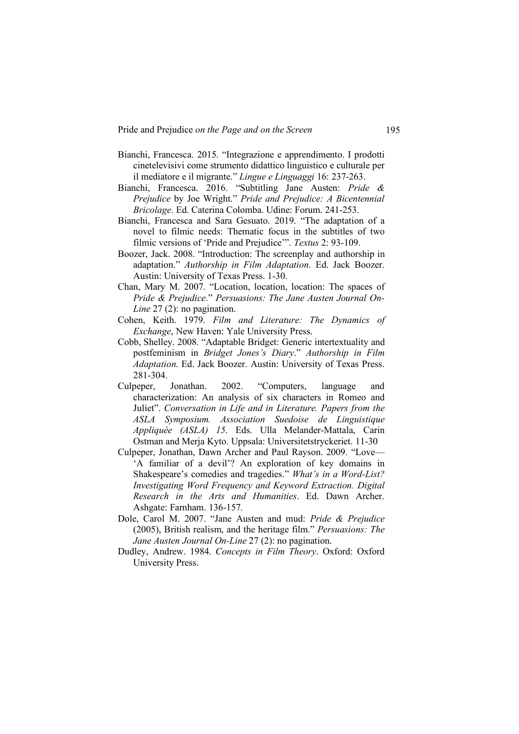- Bianchi, Francesca. 2015. "Integrazione e apprendimento. I prodotti cinetelevisivi come strumento didattico linguistico e culturale per il mediatore e il migrante." *Lingue e Linguaggi* 16: 237-263.
- Bianchi, Francesca. 2016. "Subtitling Jane Austen: *Pride & Prejudice* by Joe Wright." *Pride and Prejudice: A Bicentennial Bricolage*. Ed. Caterina Colomba. Udine: Forum. 241-253.
- Bianchi, Francesca and Sara Gesuato. 2019. "The adaptation of a novel to filmic needs: Thematic focus in the subtitles of two filmic versions of 'Pride and Prejudice'". *Textus* 2: 93-109.
- Boozer, Jack. 2008. "Introduction: The screenplay and authorship in adaptation." *Authorship in Film Adaptation*. Ed. Jack Boozer. Austin: University of Texas Press. 1-30.
- Chan, Mary M. 2007. "Location, location, location: The spaces of *Pride & Prejudice*." *Persuasions: The Jane Austen Journal On-Line* 27 (2): no pagination.
- Cohen, Keith. 1979. *Film and Literature: The Dynamics of Exchange*, New Haven: Yale University Press.
- Cobb, Shelley. 2008. "Adaptable Bridget: Generic intertextuality and postfeminism in *Bridget Jones's Diary*." *Authorship in Film Adaptation*. Ed. Jack Boozer. Austin: University of Texas Press. 281-304.
- Culpeper, Jonathan. 2002. "Computers, language characterization: An analysis of six characters in Romeo and Juliet". *Conversation in Life and in Literature. Papers from the ASLA Symposium. Association Suedoise de Linguistique Appliquée (ASLA) 15*. Eds. Ulla Melander-Mattala, Carin Ostman and Merja Kyto. Uppsala: Universitetstryckeriet. 11-30
- Culpeper, Jonathan, Dawn Archer and Paul Rayson. 2009. "Love— 'A familiar of a devil'? An exploration of key domains in Shakespeare's comedies and tragedies." *What's in a Word-List? Investigating Word Frequency and Keyword Extraction. Digital Research in the Arts and Humanities*. Ed. Dawn Archer. Ashgate: Farnham. 136-157.
- Dole, Carol M. 2007. "Jane Austen and mud: *Pride & Prejudice* (2005), British realism, and the heritage film." *Persuasions: The Jane Austen Journal On-Line* 27 (2): no pagination.
- Dudley, Andrew. 1984. *Concepts in Film Theory*. Oxford: Oxford University Press.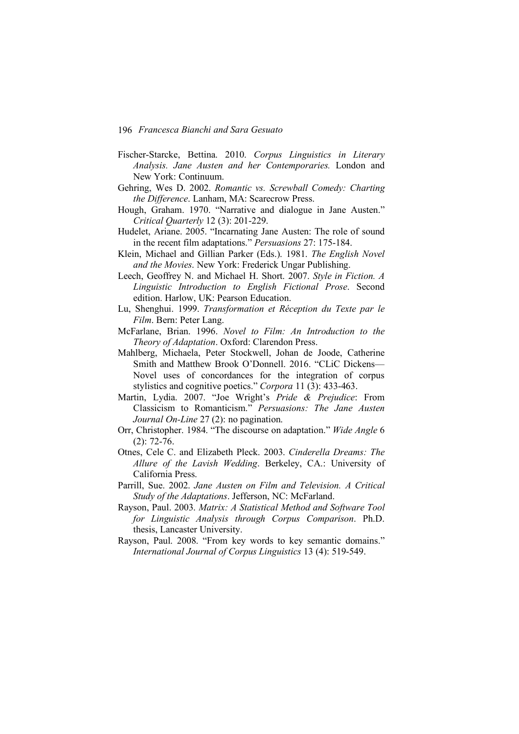- Fischer-Starcke, Bettina. 2010. *Corpus Linguistics in Literary Analysis. Jane Austen and her Contemporaries.* London and New York: Continuum.
- Gehring, Wes D. 2002. *Romantic vs. Screwball Comedy: Charting the Difference*. Lanham, MA: Scarecrow Press.
- Hough, Graham. 1970. "Narrative and dialogue in Jane Austen." *Critical Quarterly* 12 (3): 201-229.
- Hudelet, Ariane. 2005. "Incarnating Jane Austen: The role of sound in the recent film adaptations." *Persuasions* 27: 175-184.
- Klein, Michael and Gillian Parker (Eds.). 1981. *The English Novel and the Movies*. New York: Frederick Ungar Publishing.
- Leech, Geoffrey N. and Michael H. Short. 2007. *Style in Fiction. A Linguistic Introduction to English Fictional Prose*. Second edition. Harlow, UK: Pearson Education.
- Lu, Shenghui. 1999. *Transformation et Réception du Texte par le Film*. Bern: Peter Lang.
- McFarlane, Brian. 1996. *Novel to Film: An Introduction to the Theory of Adaptation*. Oxford: Clarendon Press.
- Mahlberg, Michaela, Peter Stockwell, Johan de Joode, Catherine Smith and Matthew Brook O'Donnell. 2016. "CLiC Dickens— Novel uses of concordances for the integration of corpus stylistics and cognitive poetics." *Corpora* 11 (3): 433-463.
- Martin, Lydia. 2007. "Joe Wright's *Pride & Prejudice*: From Classicism to Romanticism." *Persuasions: The Jane Austen Journal On-Line* 27 (2): no pagination.
- Orr, Christopher. 1984. "The discourse on adaptation." *Wide Angle* 6 (2): 72-76.
- Otnes, Cele C. and Elizabeth Pleck. 2003. *Cinderella Dreams: The Allure of the Lavish Wedding*. Berkeley, CA.: University of California Press.
- Parrill, Sue. 2002. *Jane Austen on Film and Television. A Critical Study of the Adaptations*. Jefferson, NC: McFarland.
- Rayson, Paul. 2003. *Matrix: A Statistical Method and Software Tool for Linguistic Analysis through Corpus Comparison*. Ph.D. thesis, Lancaster University.
- Rayson, Paul. 2008. "From key words to key semantic domains." *International Journal of Corpus Linguistics* 13 (4): 519-549.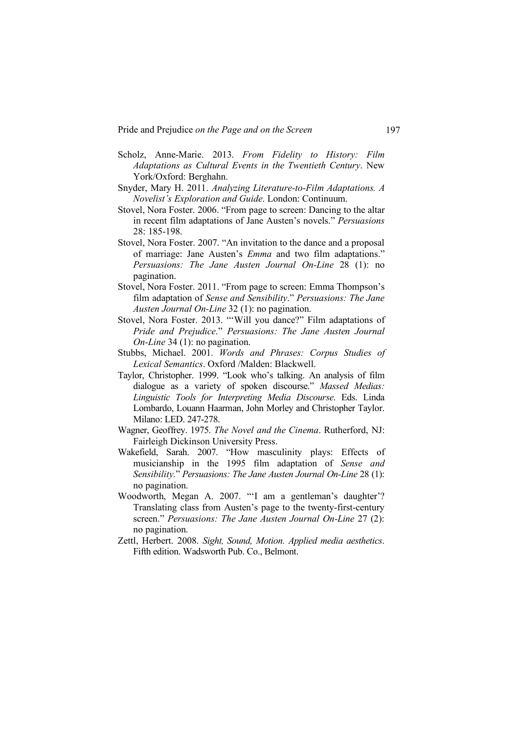Pride and Prejudice *on the Page and on the Screen* 197

- Scholz, Anne-Marie. 2013. *From Fidelity to History: Film Adaptations as Cultural Events in the Twentieth Century*. New York/Oxford: Berghahn.
- Snyder, Mary H. 2011. *Analyzing Literature-to-Film Adaptations. A Novelist's Exploration and Guide*. London: Continuum.
- Stovel, Nora Foster. 2006. "From page to screen: Dancing to the altar in recent film adaptations of Jane Austen's novels." *Persuasions*  28: 185-198.
- Stovel, Nora Foster. 2007. "An invitation to the dance and a proposal of marriage: Jane Austen's *Emma* and two film adaptations." *Persuasions: The Jane Austen Journal On-Line* 28 (1): no pagination.
- Stovel, Nora Foster. 2011. "From page to screen: Emma Thompson's film adaptation of *Sense and Sensibility*." *Persuasions: The Jane Austen Journal On-Line* 32 (1): no pagination.
- Stovel, Nora Foster. 2013. "'Will you dance?" Film adaptations of *Pride and Prejudice*." *Persuasions: The Jane Austen Journal On-Line* 34 (1): no pagination.
- Stubbs, Michael. 2001. *Words and Phrases: Corpus Studies of Lexical Semantics*. Oxford /Malden: Blackwell.
- Taylor, Christopher. 1999. "Look who's talking. An analysis of film dialogue as a variety of spoken discourse." *Massed Medias: Linguistic Tools for Interpreting Media Discourse*. Eds. Linda Lombardo, Louann Haarman, John Morley and Christopher Taylor. Milano: LED. 247-278.
- Wagner, Geoffrey. 1975. *The Novel and the Cinema*. Rutherford, NJ: Fairleigh Dickinson University Press.
- Wakefield, Sarah. 2007. "How masculinity plays: Effects of musicianship in the 1995 film adaptation of *Sense and Sensibility*." *Persuasions: The Jane Austen Journal On-Line* 28 (1): no pagination.
- Woodworth, Megan A. 2007. "'I am a gentleman's daughter'? Translating class from Austen's page to the twenty-first-century screen." *Persuasions: The Jane Austen Journal On-Line* 27 (2): no pagination.
- Zettl, Herbert. 2008. *Sight, Sound, Motion. Applied media aesthetics*. Fifth edition. Wadsworth Pub. Co., Belmont.